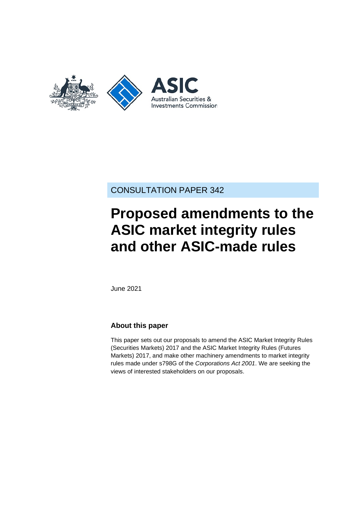

# CONSULTATION PAPER 342

# **Proposed amendments to the ASIC market integrity rules and other ASIC-made rules**

June 2021

### **About this paper**

This paper sets out our proposals to amend the ASIC Market Integrity Rules (Securities Markets) 2017 and the ASIC Market Integrity Rules (Futures Markets) 2017, and make other machinery amendments to market integrity rules made under s798G of the *Corporations Act 2001*. We are seeking the views of interested stakeholders on our proposals.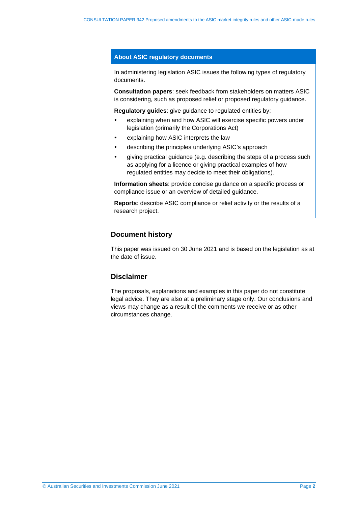#### **About ASIC regulatory documents**

In administering legislation ASIC issues the following types of regulatory documents.

**Consultation papers**: seek feedback from stakeholders on matters ASIC is considering, such as proposed relief or proposed regulatory guidance.

**Regulatory guides**: give guidance to regulated entities by:

- explaining when and how ASIC will exercise specific powers under legislation (primarily the Corporations Act)
- explaining how ASIC interprets the law
- describing the principles underlying ASIC's approach
- giving practical guidance (e.g. describing the steps of a process such as applying for a licence or giving practical examples of how regulated entities may decide to meet their obligations).

**Information sheets**: provide concise guidance on a specific process or compliance issue or an overview of detailed guidance.

**Reports**: describe ASIC compliance or relief activity or the results of a research project.

#### **Document history**

This paper was issued on 30 June 2021 and is based on the legislation as at the date of issue.

#### **Disclaimer**

The proposals, explanations and examples in this paper do not constitute legal advice. They are also at a preliminary stage only. Our conclusions and views may change as a result of the comments we receive or as other circumstances change.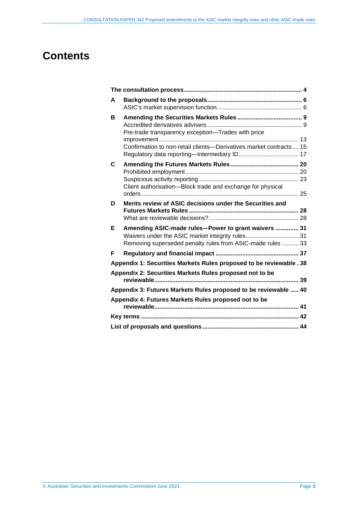# **Contents**

| A |                                                                                                                                                                       |  |
|---|-----------------------------------------------------------------------------------------------------------------------------------------------------------------------|--|
| в | Pre-trade transparency exception-Trades with price<br>Confirmation to non-retail clients-Derivatives market contracts 15                                              |  |
| C | Client authorisation-Block trade and exchange for physical                                                                                                            |  |
| D | Merits review of ASIC decisions under the Securities and                                                                                                              |  |
| Е | Amending ASIC-made rules-Power to grant waivers  31<br>Waivers under the ASIC market integrity rules 31<br>Removing superseded penalty rules from ASIC-made rules  33 |  |
| F |                                                                                                                                                                       |  |
|   | Appendix 1: Securities Markets Rules proposed to be reviewable . 38                                                                                                   |  |
|   | Appendix 2: Securities Markets Rules proposed not to be                                                                                                               |  |
|   | Appendix 3: Futures Markets Rules proposed to be reviewable  40                                                                                                       |  |
|   | Appendix 4: Futures Markets Rules proposed not to be                                                                                                                  |  |
|   |                                                                                                                                                                       |  |
|   |                                                                                                                                                                       |  |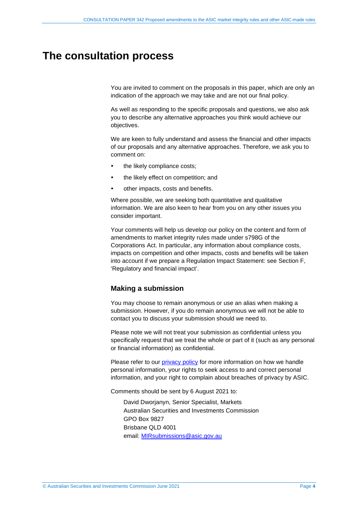# <span id="page-3-1"></span><span id="page-3-0"></span>**The consultation process**

You are invited to comment on the proposals in this paper, which are only an indication of the approach we may take and are not our final policy.

As well as responding to the specific proposals and questions, we also ask you to describe any alternative approaches you think would achieve our objectives.

We are keen to fully understand and assess the financial and other impacts of our proposals and any alternative approaches. Therefore, we ask you to comment on:

- the likely compliance costs;
- the likely effect on competition; and
- other impacts, costs and benefits.

Where possible, we are seeking both quantitative and qualitative information. We are also keen to hear from you on any other issues you consider important.

Your comments will help us develop our policy on the content and form of amendments to market integrity rules made under s798G of the Corporations Act. In particular, any information about compliance costs, impacts on competition and other impacts, costs and benefits will be taken into account if we prepare a Regulation Impact Statement: see Section [F,](#page-36-0) 'Regulatory and financial impact'.

#### **Making a submission**

You may choose to remain anonymous or use an alias when making a submission. However, if you do remain anonymous we will not be able to contact you to discuss your submission should we need to.

Please note we will not treat your submission as confidential unless you specifically request that we treat the whole or part of it (such as any personal or financial information) as confidential.

Please refer to our [privacy policy](http://www.asic.gov.au/privacy) for more information on how we handle personal information, your rights to seek access to and correct personal information, and your right to complain about breaches of privacy by ASIC.

Comments should be sent by 6 August 2021 to:

David Dworjanyn, Senior Specialist, Markets Australian Securities and Investments Commission GPO Box 9827 Brisbane QLD 4001 email: [MIRsubmissions@asic.gov.au](mailto:MIRsubmissions@asic.gov.au)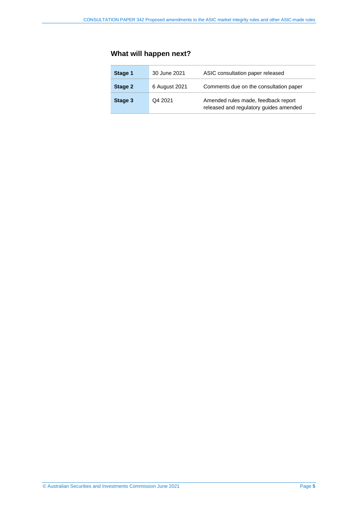# **What will happen next?**

| Stage 1 | 30 June 2021  | ASIC consultation paper released                                              |
|---------|---------------|-------------------------------------------------------------------------------|
| Stage 2 | 6 August 2021 | Comments due on the consultation paper                                        |
| Stage 3 | Q4 2021       | Amended rules made, feedback report<br>released and regulatory guides amended |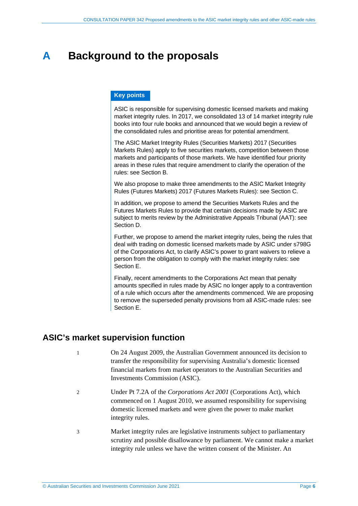# <span id="page-5-0"></span>**A Background to the proposals**

#### **Key points**

ASIC is responsible for supervising domestic licensed markets and making market integrity rules. In 2017, we consolidated 13 of 14 market integrity rule books into four rule books and announced that we would begin a review of the consolidated rules and prioritise areas for potential amendment.

The ASIC Market Integrity Rules (Securities Markets) 2017 (Securities Markets Rules) apply to five securities markets, competition between those markets and participants of those markets. We have identified four priority areas in these rules that require amendment to clarify the operation of the rules: see Section [B.](#page-8-0)

We also propose to make three amendments to the ASIC Market Integrity Rules (Futures Markets) 2017 (Futures Markets Rules): see Section [C.](#page-19-0) 

In addition, we propose to amend the Securities Markets Rules and the Futures Markets Rules to provide that certain decisions made by ASIC are subject to merits review by the Administrative Appeals Tribunal (AAT): see Section [D.](#page-27-0)

Further, we propose to amend the market integrity rules, being the rules that deal with trading on domestic licensed markets made by ASIC under s798G of the Corporations Act, to clarify ASIC's power to grant waivers to relieve a person from the obligation to comply with the market integrity rules: see Section [E.](#page-30-0)

Finally, recent amendments to the Corporations Act mean that penalty amounts specified in rules made by ASIC no longer apply to a contravention of a rule which occurs after the amendments commenced. We are proposing to remove the superseded penalty provisions from all ASIC-made rules: see Section [E.](#page-30-0)

# <span id="page-5-1"></span>**ASIC's market supervision function**

- 1 On 24 August 2009, the Australian Government announced its decision to transfer the responsibility for supervising Australia's domestic licensed financial markets from market operators to the Australian Securities and Investments Commission (ASIC).
- 2 Under Pt 7.2A of the *Corporations Act 2001* (Corporations Act), which commenced on 1 August 2010, we assumed responsibility for supervising domestic licensed markets and were given the power to make market integrity rules.
- 3 Market integrity rules are legislative instruments subject to parliamentary scrutiny and possible disallowance by parliament. We cannot make a market integrity rule unless we have the written consent of the Minister. An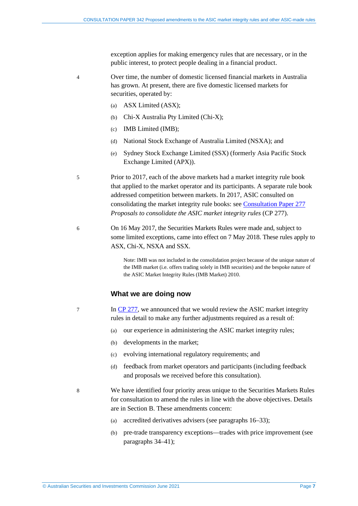exception applies for making emergency rules that are necessary, or in the public interest, to protect people dealing in a financial product.

4 Over time, the number of domestic licensed financial markets in Australia has grown. At present, there are five domestic licensed markets for securities, operated by:

- (a) ASX Limited (ASX);
- (b) Chi-X Australia Pty Limited (Chi-X);
- (c) IMB Limited (IMB);
- (d) National Stock Exchange of Australia Limited (NSXA); and
- (e) Sydney Stock Exchange Limited (SSX) (formerly Asia Pacific Stock Exchange Limited (APX)).

5 Prior to 2017, each of the above markets had a market integrity rule book that applied to the market operator and its participants. A separate rule book addressed competition between markets. In 2017, ASIC consulted on consolidating the market integrity rule books: see [Consultation Paper 277](https://asic.gov.au/regulatory-resources/find-a-document/consultation-papers/cp-277-proposals-to-consolidate-the-asic-market-integrity-rules/) *Proposals to consolidate the ASIC market integrity rules* (CP 277).

6 On 16 May 2017, the Securities Markets Rules were made and, subject to some limited exceptions, came into effect on 7 May 2018. These rules apply to ASX, Chi-X, NSXA and SSX.

> Note: IMB was not included in the consolidation project because of the unique nature of the IMB market (i.e. offers trading solely in IMB securities) and the bespoke nature of the ASIC Market Integrity Rules (IMB Market) 2010.

#### **What we are doing now**

- 7 In CP [277,](https://asic.gov.au/regulatory-resources/find-a-document/consultation-papers/cp-277-proposals-to-consolidate-the-asic-market-integrity-rules/) we announced that we would review the ASIC market integrity rules in detail to make any further adjustments required as a result of:
	- (a) our experience in administering the ASIC market integrity rules;
	- (b) developments in the market;
	- (c) evolving international regulatory requirements; and
	- (d) feedback from market operators and participants (including feedback and proposals we received before this consultation).
- 

8 We have identified four priority areas unique to the Securities Markets Rules for consultation to amend the rules in line with the above objectives. Details are in Section [B.](#page-8-0) These amendments concern:

- (a) accredited derivatives advisers (see paragraphs [16](#page-8-2)[–33\)](#page-12-1);
- (b) pre-trade transparency exceptions—trades with price improvement (see paragraphs [34–](#page-12-2)[41\)](#page-13-0);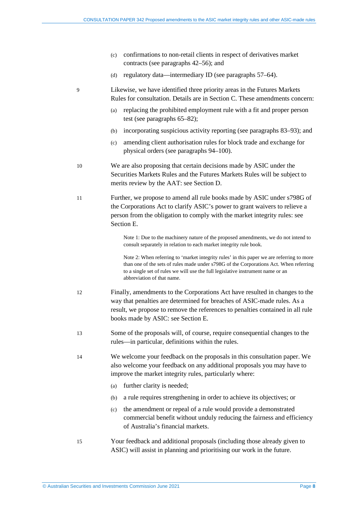- (c) confirmations to non-retail clients in respect of derivatives market contracts (see paragraphs [42–](#page-14-1)[56\)](#page-16-1); and
- (d) regulatory data—intermediary ID (see paragraphs [57–](#page-16-2)[64\)](#page-18-0).

9 Likewise, we have identified three priority areas in the Futures Markets Rules for consultation. Details are in Section [C.](#page-19-0) These amendments concern:

- (a) replacing the prohibited employment rule with a fit and proper person test (see paragraphs [65](#page-19-2)[–82\)](#page-22-1);
- (b) incorporating suspicious activity reporting (see paragraphs [83–](#page-22-2)[93\)](#page-24-1); and
- (c) amending client authorisation rules for block trade and exchange for physical orders (see paragraph[s 94–](#page-24-2)[100\)](#page-26-0).
- 10 We are also proposing that certain decisions made by ASIC under the Securities Markets Rules and the Futures Markets Rules will be subject to merits review by the AAT: see Section [D.](#page-27-0)
- 11 Further, we propose to amend all rule books made by ASIC under s798G of the Corporations Act to clarify ASIC's power to grant waivers to relieve a person from the obligation to comply with the market integrity rules: see Section [E.](#page-30-0)

Note 1: Due to the machinery nature of the proposed amendments, we do not intend to consult separately in relation to each market integrity rule book.

Note 2: When referring to 'market integrity rules' in this paper we are referring to more than one of the sets of rules made under s798G of the Corporations Act. When referring to a single set of rules we will use the full legislative instrument name or an abbreviation of that name.

- 12 Finally, amendments to the Corporations Act have resulted in changes to the way that penalties are determined for breaches of ASIC-made rules. As a result, we propose to remove the references to penalties contained in all rule books made by ASIC: see Section [E.](#page-30-0)
- 13 Some of the proposals will, of course, require consequential changes to the rules—in particular, definitions within the rules.
- 14 We welcome your feedback on the proposals in this consultation paper. We also welcome your feedback on any additional proposals you may have to improve the market integrity rules, particularly where:
	- (a) further clarity is needed;
	- (b) a rule requires strengthening in order to achieve its objectives; or
	- (c) the amendment or repeal of a rule would provide a demonstrated commercial benefit without unduly reducing the fairness and efficiency of Australia's financial markets.
- 15 Your feedback and additional proposals (including those already given to ASIC) will assist in planning and prioritising our work in the future.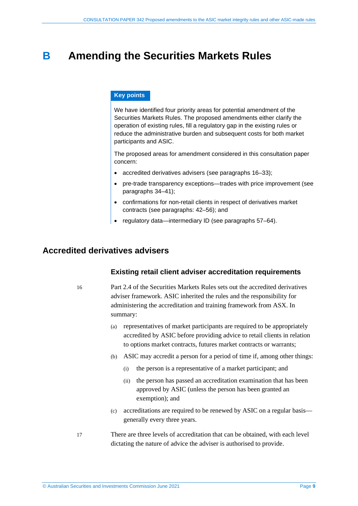# <span id="page-8-0"></span>**B Amending the Securities Markets Rules**

#### **Key points**

We have identified four priority areas for potential amendment of the Securities Markets Rules. The proposed amendments either clarify the operation of existing rules, fill a regulatory gap in the existing rules or reduce the administrative burden and subsequent costs for both market participants and ASIC.

The proposed areas for amendment considered in this consultation paper concern:

- accredited derivatives advisers (see paragraphs [16–](#page-8-2)[33\)](#page-12-1);
- pre-trade transparency exceptions—trades with price improvement (see paragraphs [34–](#page-12-2)[41\)](#page-13-0);
- confirmations for non-retail clients in respect of derivatives market contracts (see paragraphs: [42](#page-14-1)[–56\)](#page-16-1); and
- regulatory data—intermediary ID (see paragraphs [57](#page-16-2)[–64\)](#page-18-0).

### <span id="page-8-2"></span><span id="page-8-1"></span>**Accredited derivatives advisers**

#### **Existing retail client adviser accreditation requirements**

16 Part 2.4 of the Securities Markets Rules sets out the accredited derivatives adviser framework. ASIC inherited the rules and the responsibility for administering the accreditation and training framework from ASX. In summary:

- (a) representatives of market participants are required to be appropriately accredited by ASIC before providing advice to retail clients in relation to options market contracts, futures market contracts or warrants;
- (b) ASIC may accredit a person for a period of time if, among other things:
	- (i) the person is a representative of a market participant; and
	- (ii) the person has passed an accreditation examination that has been approved by ASIC (unless the person has been granted an exemption); and
- (c) accreditations are required to be renewed by ASIC on a regular basis generally every three years.
- 17 There are three levels of accreditation that can be obtained, with each level dictating the nature of advice the adviser is authorised to provide.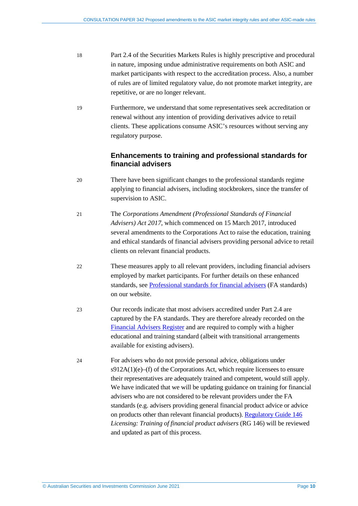- 18 Part 2.4 of the Securities Markets Rules is highly prescriptive and procedural in nature, imposing undue administrative requirements on both ASIC and market participants with respect to the accreditation process. Also, a number of rules are of limited regulatory value, do not promote market integrity, are repetitive, or are no longer relevant.
- 19 Furthermore, we understand that some representatives seek accreditation or renewal without any intention of providing derivatives advice to retail clients. These applications consume ASIC's resources without serving any regulatory purpose.

### **Enhancements to training and professional standards for financial advisers**

- 20 There have been significant changes to the professional standards regime applying to financial advisers, including stockbrokers, since the transfer of supervision to ASIC.
- 21 The *Corporations Amendment (Professional Standards of Financial Advisers) Act 2017*, which commenced on 15 March 2017, introduced several amendments to the Corporations Act to raise the education, training and ethical standards of financial advisers providing personal advice to retail clients on relevant financial products.
- 22 These measures apply to all relevant providers, including financial advisers employed by market participants. For further details on these enhanced standards, see [Professional standards for financial advisers](https://asic.gov.au/for-finance-professionals/afs-licensees/professional-standards-for-financial-advisers/) (FA standards) on our website.
- 23 Our records indicate that most advisers accredited under Part 2.4 are captured by the FA standards. They are therefore already recorded on the [Financial Advisers Register](https://asic.gov.au/for-finance-professionals/afs-licensees/financial-advisers-register/) and are required to comply with a higher educational and training standard (albeit with transitional arrangements available for existing advisers).
- 24 For advisers who do not provide personal advice, obligations under  $s912A(1)(e)$ –(f) of the Corporations Act, which require licensees to ensure their representatives are adequately trained and competent, would still apply. We have indicated that we will be updating guidance on training for financial advisers who are not considered to be relevant providers under the FA standards (e.g. advisers providing general financial product advice or advice on products other than relevant financial products). [Regulatory Guide 146](https://asic.gov.au/regulatory-resources/find-a-document/regulatory-guides/rg-146-licensing-training-of-financial-product-advisers/) *Licensing: Training of financial product advisers* (RG 146) will be reviewed and updated as part of this process.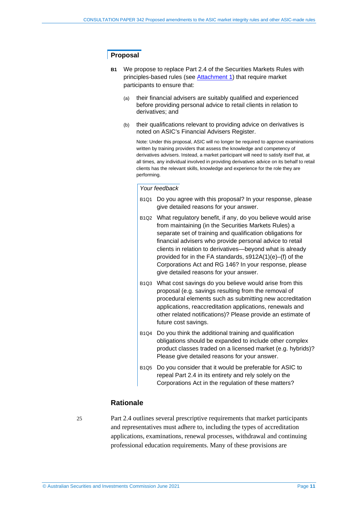#### **Proposal**

- **B1** We propose to replace Part 2.4 of the Securities Markets Rules with principles-based rules (see [Attachment 1\)](https://asic.gov.au/regulatory-resources/find-a-document/consultation-papers/cp-342-proposed-amendments-to-the-asic-market-integrity-rules-and-other-asic-made-rules/) that require market participants to ensure that:
	- (a) their financial advisers are suitably qualified and experienced before providing personal advice to retail clients in relation to derivatives; and
	- (b) their qualifications relevant to providing advice on derivatives is noted on ASIC's Financial Advisers Register.

Note: Under this proposal, ASIC will no longer be required to approve examinations written by training providers that assess the knowledge and competency of derivatives advisers. Instead, a market participant will need to satisfy itself that, at all times, any individual involved in providing derivatives advice on its behalf to retail clients has the relevant skills, knowledge and experience for the role they are performing.

#### *Your feedback*

- B1Q1 Do you agree with this proposal? In your response, please give detailed reasons for your answer.
- B1Q2 What regulatory benefit, if any, do you believe would arise from maintaining (in the Securities Markets Rules) a separate set of training and qualification obligations for financial advisers who provide personal advice to retail clients in relation to derivatives—beyond what is already provided for in the FA standards, s912A(1)(e)–(f) of the Corporations Act and RG 146? In your response, please give detailed reasons for your answer.
- B1Q3 What cost savings do you believe would arise from this proposal (e.g. savings resulting from the removal of procedural elements such as submitting new accreditation applications, reaccreditation applications, renewals and other related notifications)? Please provide an estimate of future cost savings.
- B1Q4 Do you think the additional training and qualification obligations should be expanded to include other complex product classes traded on a licensed market (e.g. hybrids)? Please give detailed reasons for your answer.
- B1Q5 Do you consider that it would be preferable for ASIC to repeal Part 2.4 in its entirety and rely solely on the Corporations Act in the regulation of these matters?

#### **Rationale**

25 Part 2.4 outlines several prescriptive requirements that market participants and representatives must adhere to, including the types of accreditation applications, examinations, renewal processes, withdrawal and continuing professional education requirements. Many of these provisions are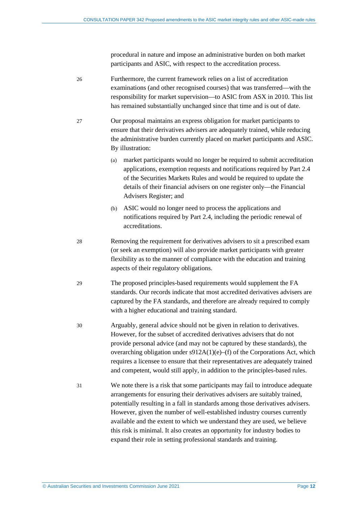procedural in nature and impose an administrative burden on both market participants and ASIC, with respect to the accreditation process.

26 Furthermore, the current framework relies on a list of accreditation examinations (and other recognised courses) that was transferred—with the responsibility for market supervision—to ASIC from ASX in 2010. This list has remained substantially unchanged since that time and is out of date.

- 27 Our proposal maintains an express obligation for market participants to ensure that their derivatives advisers are adequately trained, while reducing the administrative burden currently placed on market participants and ASIC. By illustration:
	- (a) market participants would no longer be required to submit accreditation applications, exemption requests and notifications required by Part 2.4 of the Securities Markets Rules and would be required to update the details of their financial advisers on one register only—th[e Financial](https://asic.gov.au/for-finance-professionals/afs-licensees/financial-advisers-register/)  [Advisers Register;](https://asic.gov.au/for-finance-professionals/afs-licensees/financial-advisers-register/) and
	- (b) ASIC would no longer need to process the applications and notifications required by Part 2.4, including the periodic renewal of accreditations.
- 28 Removing the requirement for derivatives advisers to sit a prescribed exam (or seek an exemption) will also provide market participants with greater flexibility as to the manner of compliance with the education and training aspects of their regulatory obligations.
- 29 The proposed principles-based requirements would supplement the FA standards. Our records indicate that most accredited derivatives advisers are captured by the FA standards, and therefore are already required to comply with a higher educational and training standard.
- 30 Arguably, general advice should not be given in relation to derivatives. However, for the subset of accredited derivatives advisers that do not provide personal advice (and may not be captured by these standards), the overarching obligation under s912A(1)(e)–(f) of the Corporations Act, which requires a licensee to ensure that their representatives are adequately trained and competent, would still apply, in addition to the principles-based rules.
- 31 We note there is a risk that some participants may fail to introduce adequate arrangements for ensuring their derivatives advisers are suitably trained, potentially resulting in a fall in standards among those derivatives advisers. However, given the number of well-established industry courses currently available and the extent to which we understand they are used, we believe this risk is minimal. It also creates an opportunity for industry bodies to expand their role in setting professional standards and training.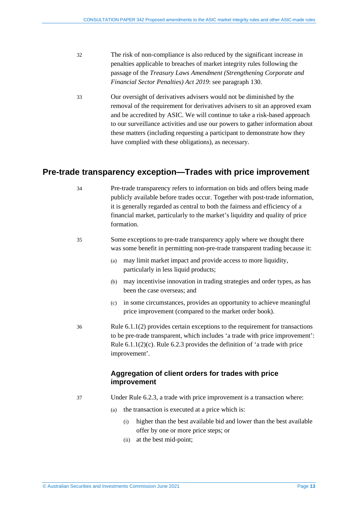- 32 The risk of non-compliance is also reduced by the significant increase in penalties applicable to breaches of market integrity rules following the passage of the *Treasury Laws Amendment (Strengthening Corporate and Financial Sector Penalties) Act 2019*: see paragrap[h 130.](#page-33-0)
- <span id="page-12-1"></span>33 Our oversight of derivatives advisers would not be diminished by the removal of the requirement for derivatives advisers to sit an approved exam and be accredited by ASIC. We will continue to take a risk-based approach to our surveillance activities and use our powers to gather information about these matters (including requesting a participant to demonstrate how they have complied with these obligations), as necessary.

### <span id="page-12-2"></span><span id="page-12-0"></span>**Pre-trade transparency exception—Trades with price improvement**

- 34 Pre-trade transparency refers to information on bids and offers being made publicly available before trades occur. Together with post-trade information, it is generally regarded as central to both the fairness and efficiency of a financial market, particularly to the market's liquidity and quality of price formation.
- 35 Some exceptions to pre-trade transparency apply where we thought there was some benefit in permitting non-pre-trade transparent trading because it:
	- (a) may limit market impact and provide access to more liquidity, particularly in less liquid products;
	- (b) may incentivise innovation in trading strategies and order types, as has been the case overseas; and
	- (c) in some circumstances, provides an opportunity to achieve meaningful price improvement (compared to the market order book).
- 36 Rule 6.1.1(2) provides certain exceptions to the requirement for transactions to be pre-trade transparent, which includes 'a trade with price improvement': Rule 6.1.1(2)(c). Rule 6.2.3 provides the definition of 'a trade with price improvement'.

#### **Aggregation of client orders for trades with price improvement**

37 Under Rule 6.2.3, a trade with price improvement is a transaction where:

- (a) the transaction is executed at a price which is:
	- (i) higher than the best available bid and lower than the best available offer by one or more price steps; or
	- (ii) at the best mid-point;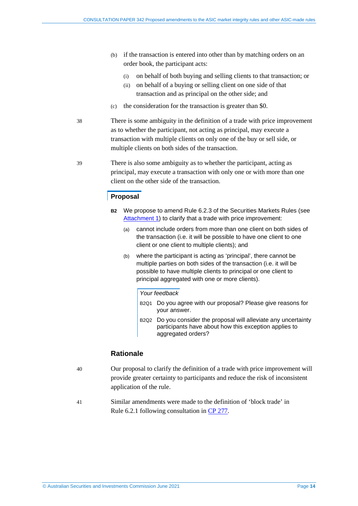- (b) if the transaction is entered into other than by matching orders on an order book, the participant acts:
	- (i) on behalf of both buying and selling clients to that transaction; or
	- (ii) on behalf of a buying or selling client on one side of that transaction and as principal on the other side; and
- (c) the consideration for the transaction is greater than \$0.
- 38 There is some ambiguity in the definition of a trade with price improvement as to whether the participant, not acting as principal, may execute a transaction with multiple clients on only one of the buy or sell side, or multiple clients on both sides of the transaction.
- 39 There is also some ambiguity as to whether the participant, acting as principal, may execute a transaction with only one or with more than one client on the other side of the transaction.

#### **Proposal**

- **B2** We propose to amend Rule 6.2.3 of the Securities Markets Rules (see [Attachment 1\)](https://asic.gov.au/regulatory-resources/find-a-document/consultation-papers/cp-342-proposed-amendments-to-the-asic-market-integrity-rules-and-other-asic-made-rules/) to clarify that a trade with price improvement:
	- (a) cannot include orders from more than one client on both sides of the transaction (i.e. it will be possible to have one client to one client or one client to multiple clients); and
	- (b) where the participant is acting as 'principal', there cannot be multiple parties on both sides of the transaction (i.e. it will be possible to have multiple clients to principal or one client to principal aggregated with one or more clients).

#### *Your feedback*

- B2Q1 Do you agree with our proposal? Please give reasons for your answer.
- B2Q2 Do you consider the proposal will alleviate any uncertainty participants have about how this exception applies to aggregated orders?

#### **Rationale**

- 40 Our proposal to clarify the definition of a trade with price improvement will provide greater certainty to participants and reduce the risk of inconsistent application of the rule.
- <span id="page-13-0"></span>41 Similar amendments were made to the definition of 'block trade' in Rule 6.2.1 following consultation in [CP 277.](https://asic.gov.au/regulatory-resources/find-a-document/consultation-papers/cp-277-proposals-to-consolidate-the-asic-market-integrity-rules/)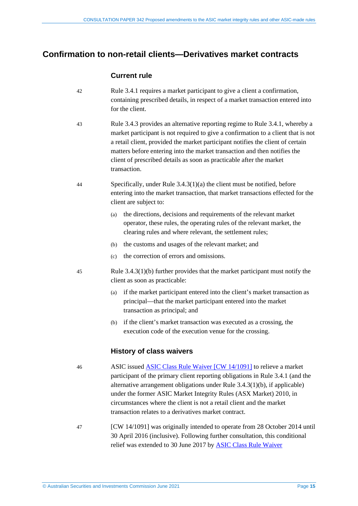### <span id="page-14-1"></span><span id="page-14-0"></span>**Confirmation to non-retail clients—Derivatives market contracts**

#### **Current rule**

- 42 Rule 3.4.1 requires a market participant to give a client a confirmation, containing prescribed details, in respect of a market transaction entered into for the client.
- 43 Rule 3.4.3 provides an alternative reporting regime to Rule 3.4.1, whereby a market participant is not required to give a confirmation to a client that is not a retail client, provided the market participant notifies the client of certain matters before entering into the market transaction and then notifies the client of prescribed details as soon as practicable after the market transaction.
- 44 Specifically, under Rule 3.4.3(1)(a) the client must be notified, before entering into the market transaction, that market transactions effected for the client are subject to:
	- (a) the directions, decisions and requirements of the relevant market operator, these rules, the operating rules of the relevant market, the clearing rules and where relevant, the settlement rules;
	- (b) the customs and usages of the relevant market; and
	- (c) the correction of errors and omissions.
- 45 Rule 3.4.3(1)(b) further provides that the market participant must notify the client as soon as practicable:
	- (a) if the market participant entered into the client's market transaction as principal—that the market participant entered into the market transaction as principal; and
	- (b) if the client's market transaction was executed as a crossing, the execution code of the execution venue for the crossing.

#### **History of class waivers**

- 46 ASIC issued [ASIC Class Rule Waiver \[CW 14/1091\]](https://www.legislation.gov.au/Details/F2016C00906) to relieve a market participant of the primary client reporting obligations in Rule 3.4.1 (and the alternative arrangement obligations under Rule 3.4.3(1)(b), if applicable) under the former ASIC Market Integrity Rules (ASX Market) 2010, in circumstances where the client is not a retail client and the market transaction relates to a derivatives market contract.
- 47 [CW 14/1091] was originally intended to operate from 28 October 2014 until 30 April 2016 (inclusive). Following further consultation, this conditional relief was extended to 30 June 2017 by [ASIC Class Rule Waiver](https://www.legislation.gov.au/Details/F2016L00599)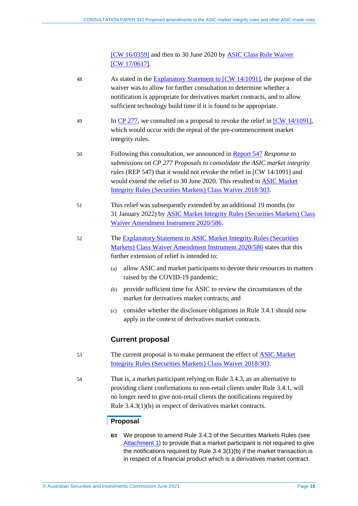[CW [16/0359\]](https://www.legislation.gov.au/Details/F2016L00599) and then to 30 June 2020 by **ASIC Class Rule Waiver** [CW [17/0617\].](https://www.legislation.gov.au/Details/F2017L00794)

| 48 | As stated in the Explanatory Statement to [CW 14/1091], the purpose of the<br>waiver was to allow for further consultation to determine whether a<br>notification is appropriate for derivatives market contracts, and to allow<br>sufficient technology build time if it is found to be appropriate.                                                                                   |  |  |
|----|-----------------------------------------------------------------------------------------------------------------------------------------------------------------------------------------------------------------------------------------------------------------------------------------------------------------------------------------------------------------------------------------|--|--|
| 49 | In $\frac{CP\ 277}{CP\ 277}$ , we consulted on a proposal to revoke the relief in $\frac{CW\ 14/1091}{P}$ ,<br>which would occur with the repeal of the pre-commencement market<br>integrity rules.                                                                                                                                                                                     |  |  |
| 50 | Following this consultation, we announced in <b>Report 547</b> Response to<br>submissions on CP 277 Proposals to consolidate the ASIC market integrity<br><i>rules</i> (REP 547) that it would not revoke the relief in [CW 14/1091] and<br>would extend the relief to 30 June 2020. This resulted in <b>ASIC Market</b><br>Integrity Rules (Securities Markets) Class Waiver 2018/303. |  |  |
| 51 | This relief was subsequently extended by an additional 19 months (to<br>31 January 2022) by <b>ASIC Market Integrity Rules (Securities Markets) Class</b><br>Waiver Amendment Instrument 2020/586.                                                                                                                                                                                      |  |  |
| 52 | The Explanatory Statement to ASIC Market Integrity Rules (Securities<br>Markets) Class Waiver Amendment Instrument 2020/586 states that this<br>further extension of relief is intended to:                                                                                                                                                                                             |  |  |
|    | allow ASIC and market participants to devote their resources to matters<br>(a)<br>raised by the COVID-19 pandemic;                                                                                                                                                                                                                                                                      |  |  |
|    | provide sufficient time for ASIC to review the circumstances of the<br>(b)<br>market for derivatives market contracts; and                                                                                                                                                                                                                                                              |  |  |
|    | consider whether the disclosure obligations in Rule 3.4.1 should now<br>(c)<br>apply in the context of derivatives market contracts.                                                                                                                                                                                                                                                    |  |  |
|    | <b>Current proposal</b>                                                                                                                                                                                                                                                                                                                                                                 |  |  |
| 53 | The current proposal is to make permanent the effect of <b>ASIC</b> Market<br>Integrity Rules (Securities Markets) Class Waiver 2018/303.                                                                                                                                                                                                                                               |  |  |
| 54 | That is, a market participant relying on Rule 3.4.3, as an alternative to<br>providing client confirmations to non-retail clients under Rule 3.4.1, will<br>no longer need to give non-retail clients the notifications required by<br>Rule $3.4.3(1)(b)$ in respect of derivatives market contracts.                                                                                   |  |  |
|    | Proposal                                                                                                                                                                                                                                                                                                                                                                                |  |  |
|    | We propose to amend Rule 3.4.3 of the Securities Markets Rules (see<br><b>B3</b>                                                                                                                                                                                                                                                                                                        |  |  |

[Attachment 1\)](https://asic.gov.au/regulatory-resources/find-a-document/consultation-papers/cp-342-proposed-amendments-to-the-asic-market-integrity-rules-and-other-asic-made-rules/) to provide that a market participant is not required to give the notifications required by Rule 3.4.3(1)(b) if the market transaction is in respect of a financial product which is a derivatives market contract.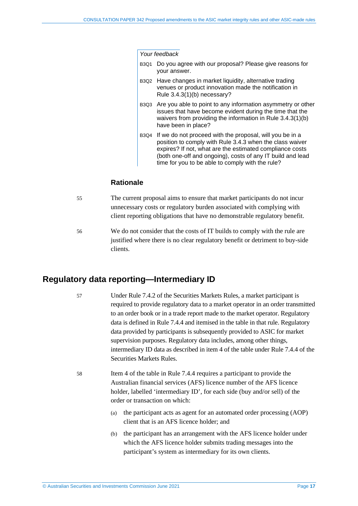#### *Your feedback*

- B3Q1 Do you agree with our proposal? Please give reasons for your answer.
- B3Q2 Have changes in market liquidity, alternative trading venues or product innovation made the notification in Rule 3.4.3(1)(b) necessary?
- B3Q3 Are you able to point to any information asymmetry or other issues that have become evident during the time that the waivers from providing the information in Rule 3.4.3(1)(b) have been in place?
- B3Q4 If we do not proceed with the proposal, will you be in a position to comply with Rule 3.4.3 when the class waiver expires? If not, what are the estimated compliance costs (both one-off and ongoing), costs of any IT build and lead time for you to be able to comply with the rule?

#### **Rationale**

- 55 The current proposal aims to ensure that market participants do not incur unnecessary costs or regulatory burden associated with complying with client reporting obligations that have no demonstrable regulatory benefit.
- <span id="page-16-1"></span>56 We do not consider that the costs of IT builds to comply with the rule are justified where there is no clear regulatory benefit or detriment to buy-side clients.

### <span id="page-16-2"></span><span id="page-16-0"></span>**Regulatory data reporting—Intermediary ID**

- 57 Under Rule 7.4.2 of the Securities Markets Rules, a market participant is required to provide regulatory data to a market operator in an order transmitted to an order book or in a trade report made to the market operator. Regulatory data is defined in Rule 7.4.4 and itemised in the table in that rule. Regulatory data provided by participants is subsequently provided to ASIC for market supervision purposes. Regulatory data includes, among other things, intermediary ID data as described in item 4 of the table under Rule 7.4.4 of the Securities Markets Rules.
- 58 Item 4 of the table in Rule 7.4.4 requires a participant to provide the Australian financial services (AFS) licence number of the AFS licence holder, labelled 'intermediary ID', for each side (buy and/or sell) of the order or transaction on which:
	- (a) the participant acts as agent for an automated order processing (AOP) client that is an AFS licence holder; and
	- (b) the participant has an arrangement with the AFS licence holder under which the AFS licence holder submits trading messages into the participant's system as intermediary for its own clients.

© Australian Securities and Investments Commission June 2021 Page **17**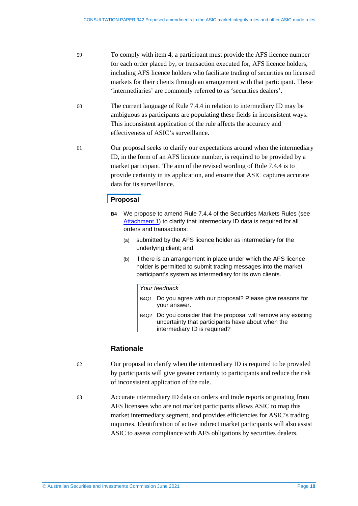- 59 To comply with item 4, a participant must provide the AFS licence number for each order placed by, or transaction executed for, AFS licence holders, including AFS licence holders who facilitate trading of securities on licensed markets for their clients through an arrangement with that participant. These 'intermediaries' are commonly referred to as 'securities dealers'.
- 60 The current language of Rule 7.4.4 in relation to intermediary ID may be ambiguous as participants are populating these fields in inconsistent ways. This inconsistent application of the rule affects the accuracy and effectiveness of ASIC's surveillance.
- 61 Our proposal seeks to clarify our expectations around when the intermediary ID, in the form of an AFS licence number, is required to be provided by a market participant. The aim of the revised wording of Rule 7.4.4 is to provide certainty in its application, and ensure that ASIC captures accurate data for its surveillance.

### **Proposal**

- **B4** We propose to amend Rule 7.4.4 of the Securities Markets Rules (see [Attachment 1\)](https://asic.gov.au/regulatory-resources/find-a-document/consultation-papers/cp-342-proposed-amendments-to-the-asic-market-integrity-rules-and-other-asic-made-rules/) to clarify that intermediary ID data is required for all orders and transactions:
	- (a) submitted by the AFS licence holder as intermediary for the underlying client; and
	- (b) if there is an arrangement in place under which the AFS licence holder is permitted to submit trading messages into the market participant's system as intermediary for its own clients.

#### *Your feedback*

- B4Q1 Do you agree with our proposal? Please give reasons for your answer.
- B4Q2 Do you consider that the proposal will remove any existing uncertainty that participants have about when the intermediary ID is required?

#### **Rationale**

- 62 Our proposal to clarify when the intermediary ID is required to be provided by participants will give greater certainty to participants and reduce the risk of inconsistent application of the rule.
- 63 Accurate intermediary ID data on orders and trade reports originating from AFS licensees who are not market participants allows ASIC to map this market intermediary segment, and provides efficiencies for ASIC's trading inquiries. Identification of active indirect market participants will also assist ASIC to assess compliance with AFS obligations by securities dealers.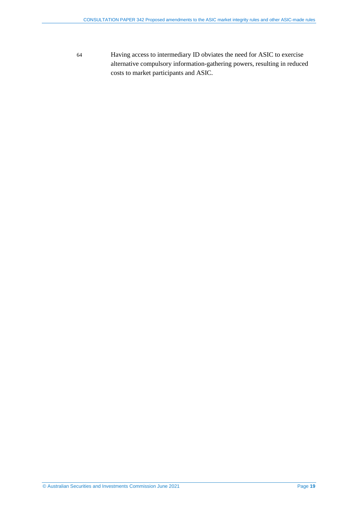<span id="page-18-0"></span>64 Having access to intermediary ID obviates the need for ASIC to exercise alternative compulsory information-gathering powers, resulting in reduced costs to market participants and ASIC.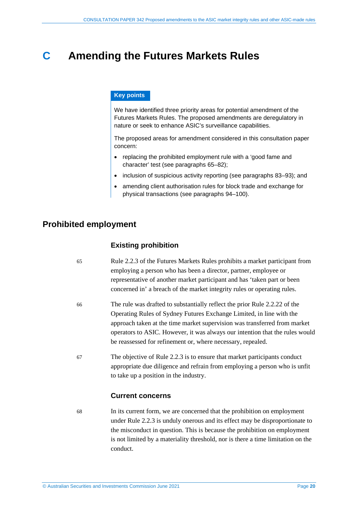# <span id="page-19-0"></span>**C Amending the Futures Markets Rules**

#### **Key points**

We have identified three priority areas for potential amendment of the Futures Markets Rules. The proposed amendments are deregulatory in nature or seek to enhance ASIC's surveillance capabilities.

The proposed areas for amendment considered in this consultation paper concern:

- replacing the prohibited employment rule with a 'good fame and character' test (see paragraphs [65–](#page-19-2)[82\)](#page-22-1);
- inclusion of suspicious activity reporting (see paragraphs [83–](#page-22-2)[93\)](#page-24-1); and
- amending client authorisation rules for block trade and exchange for physical transactions (see paragraphs [94–](#page-24-2)[100\)](#page-26-0).

### <span id="page-19-2"></span><span id="page-19-1"></span>**Prohibited employment**

#### **Existing prohibition**

- 65 Rule 2.2.3 of the Futures Markets Rules prohibits a market participant from employing a person who has been a director, partner, employee or representative of another market participant and has 'taken part or been concerned in' a breach of the market integrity rules or operating rules.
- 66 The rule was drafted to substantially reflect the prior Rule 2.2.22 of the Operating Rules of Sydney Futures Exchange Limited, in line with the approach taken at the time market supervision was transferred from market operators to ASIC. However, it was always our intention that the rules would be reassessed for refinement or, where necessary, repealed.
- 67 The objective of Rule 2.2.3 is to ensure that market participants conduct appropriate due diligence and refrain from employing a person who is unfit to take up a position in the industry.

#### **Current concerns**

68 In its current form, we are concerned that the prohibition on employment under Rule 2.2.3 is unduly onerous and its effect may be disproportionate to the misconduct in question. This is because the prohibition on employment is not limited by a materiality threshold, nor is there a time limitation on the conduct.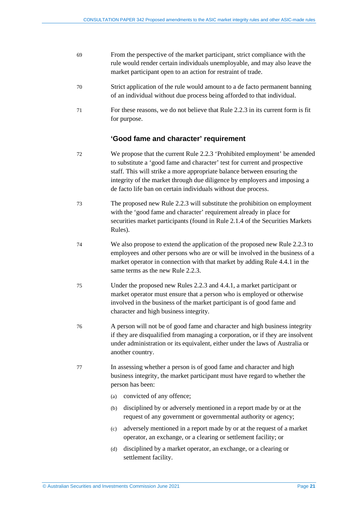| -69 | From the perspective of the market participant, strict compliance with the |
|-----|----------------------------------------------------------------------------|
|     | rule would render certain individuals unemployable, and may also leave the |
|     | market participant open to an action for restraint of trade.               |

- 70 Strict application of the rule would amount to a de facto permanent banning of an individual without due process being afforded to that individual.
- 71 For these reasons, we do not believe that Rule 2.2.3 in its current form is fit for purpose.

### **'Good fame and character' requirement**

- 72 We propose that the current Rule 2.2.3 'Prohibited employment' be amended to substitute a 'good fame and character' test for current and prospective staff. This will strike a more appropriate balance between ensuring the integrity of the market through due diligence by employers and imposing a de facto life ban on certain individuals without due process.
- 73 The proposed new Rule 2.2.3 will substitute the prohibition on employment with the 'good fame and character' requirement already in place for securities market participants (found in Rule 2.1.4 of the Securities Markets Rules).
- 74 We also propose to extend the application of the proposed new Rule 2.2.3 to employees and other persons who are or will be involved in the business of a market operator in connection with that market by adding Rule 4.4.1 in the same terms as the new Rule 2.2.3.
- 75 Under the proposed new Rules 2.2.3 and 4.4.1, a market participant or market operator must ensure that a person who is employed or otherwise involved in the business of the market participant is of good fame and character and high business integrity.
- 76 A person will not be of good fame and character and high business integrity if they are disqualified from managing a corporation, or if they are insolvent under administration or its equivalent, either under the laws of Australia or another country.
- 77 In assessing whether a person is of good fame and character and high business integrity, the market participant must have regard to whether the person has been:
	- (a) convicted of any offence;
	- (b) disciplined by or adversely mentioned in a report made by or at the request of any government or governmental authority or agency;
	- (c) adversely mentioned in a report made by or at the request of a market operator, an exchange, or a clearing or settlement facility; or
	- (d) disciplined by a market operator, an exchange, or a clearing or settlement facility.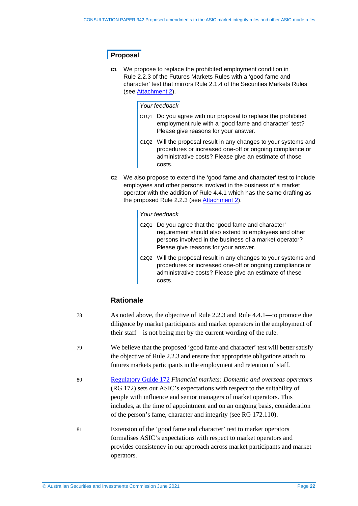### **Proposal**

**C1** We propose to replace the prohibited employment condition in Rule 2.2.3 of the Futures Markets Rules with a 'good fame and character' test that mirrors Rule 2.1.4 of the Securities Markets Rules (see [Attachment 2\)](https://asic.gov.au/regulatory-resources/find-a-document/consultation-papers/cp-342-proposed-amendments-to-the-asic-market-integrity-rules-and-other-asic-made-rules/).

#### *Your feedback*

- C1Q1 Do you agree with our proposal to replace the prohibited employment rule with a 'good fame and character' test? Please give reasons for your answer.
- C1Q2 Will the proposal result in any changes to your systems and procedures or increased one-off or ongoing compliance or administrative costs? Please give an estimate of those costs.
- **C2** We also propose to extend the 'good fame and character' test to include employees and other persons involved in the business of a market operator with the addition of Rule 4.4.1 which has the same drafting as the proposed Rule 2.2.3 (see [Attachment 2\)](https://asic.gov.au/regulatory-resources/find-a-document/consultation-papers/cp-342-proposed-amendments-to-the-asic-market-integrity-rules-and-other-asic-made-rules/).

#### *Your feedback*

- C2Q1 Do you agree that the 'good fame and character' requirement should also extend to employees and other persons involved in the business of a market operator? Please give reasons for your answer.
- C2Q2 Will the proposal result in any changes to your systems and procedures or increased one-off or ongoing compliance or administrative costs? Please give an estimate of these costs.

### **Rationale**

| 78 | As noted above, the objective of Rule 2.2.3 and Rule 4.4.1—to promote due<br>diligence by market participants and market operators in the employment of<br>their staff—is not being met by the current wording of the rule.                                                                                                                                                  |
|----|------------------------------------------------------------------------------------------------------------------------------------------------------------------------------------------------------------------------------------------------------------------------------------------------------------------------------------------------------------------------------|
| 79 | We believe that the proposed 'good fame and character' test will better satisfy<br>the objective of Rule 2.2.3 and ensure that appropriate obligations attach to<br>futures markets participants in the employment and retention of staff.                                                                                                                                   |
| 80 | Regulatory Guide 172 Financial markets: Domestic and overseas operators<br>(RG 172) sets out ASIC's expectations with respect to the suitability of<br>people with influence and senior managers of market operators. This<br>includes, at the time of appointment and on an ongoing basis, consideration<br>of the person's fame, character and integrity (see RG 172.110). |
| 81 | Extension of the 'good fame and character' test to market operators<br>formalises ASIC's expectations with respect to market operators and<br>provides consistency in our approach across market participants and market<br>operators.                                                                                                                                       |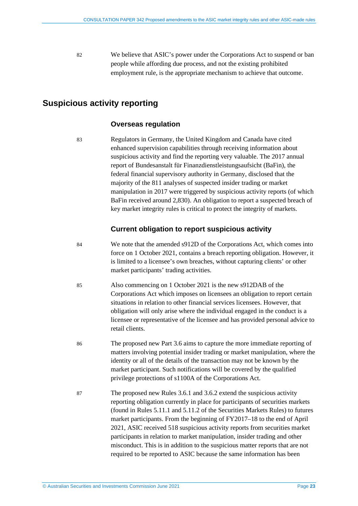<span id="page-22-1"></span>82 We believe that ASIC's power under the Corporations Act to suspend or ban people while affording due process, and not the existing prohibited employment rule, is the appropriate mechanism to achieve that outcome.

# <span id="page-22-2"></span><span id="page-22-0"></span>**Suspicious activity reporting**

#### **Overseas regulation**

83 Regulators in Germany, the United Kingdom and Canada have cited enhanced supervision capabilities through receiving information about suspicious activity and find the reporting very valuable. The 2017 annual report of Bundesanstalt für Finanzdienstleistungsaufsicht (BaFin), the federal financial supervisory authority in Germany, disclosed that the majority of the 811 analyses of suspected insider trading or market manipulation in 2017 were triggered by suspicious activity reports (of which BaFin received around 2,830). An obligation to report a suspected breach of key market integrity rules is critical to protect the integrity of markets.

### **Current obligation to report suspicious activity**

- 84 We note that the amended s912D of the Corporations Act, which comes into force on 1 October 2021, contains a breach reporting obligation. However, it is limited to a licensee's own breaches, without capturing clients' or other market participants' trading activities.
- 85 Also commencing on 1 October 2021 is the new s912DAB of the Corporations Act which imposes on licensees an obligation to report certain situations in relation to other financial services licensees. However, that obligation will only arise where the individual engaged in the conduct is a licensee or representative of the licensee and has provided personal advice to retail clients.
- 86 The proposed new Part 3.6 aims to capture the more immediate reporting of matters involving potential insider trading or market manipulation, where the identity or all of the details of the transaction may not be known by the market participant. Such notifications will be covered by the qualified privilege protections of s1100A of the Corporations Act.
- 87 The proposed new Rules 3.6.1 and 3.6.2 extend the suspicious activity reporting obligation currently in place for participants of securities markets (found in Rules 5.11.1 and 5.11.2 of the Securities Markets Rules) to futures market participants. From the beginning of FY2017–18 to the end of April 2021, ASIC received 518 suspicious activity reports from securities market participants in relation to market manipulation, insider trading and other misconduct. This is in addition to the suspicious matter reports that are not required to be reported to ASIC because the same information has been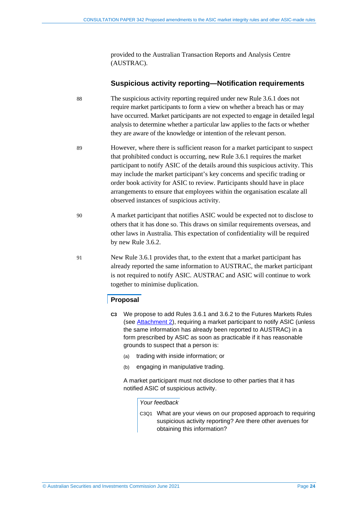provided to the Australian Transaction Reports and Analysis Centre (AUSTRAC).

#### **Suspicious activity reporting—Notification requirements**

- 88 The suspicious activity reporting required under new Rule 3.6.1 does not require market participants to form a view on whether a breach has or may have occurred. Market participants are not expected to engage in detailed legal analysis to determine whether a particular law applies to the facts or whether they are aware of the knowledge or intention of the relevant person.
- 89 However, where there is sufficient reason for a market participant to suspect that prohibited conduct is occurring, new Rule 3.6.1 requires the market participant to notify ASIC of the details around this suspicious activity. This may include the market participant's key concerns and specific trading or order book activity for ASIC to review. Participants should have in place arrangements to ensure that employees within the organisation escalate all observed instances of suspicious activity.
- 90 A market participant that notifies ASIC would be expected not to disclose to others that it has done so. This draws on similar requirements overseas, and other laws in Australia. This expectation of confidentiality will be required by new Rule 3.6.2.
- 91 New Rule 3.6.1 provides that, to the extent that a market participant has already reported the same information to AUSTRAC, the market participant is not required to notify ASIC. AUSTRAC and ASIC will continue to work together to minimise duplication.

#### **Proposal**

- **C3** We propose to add Rules 3.6.1 and 3.6.2 to the Futures Markets Rules (see [Attachment 2\)](https://asic.gov.au/regulatory-resources/find-a-document/consultation-papers/cp-342-proposed-amendments-to-the-asic-market-integrity-rules-and-other-asic-made-rules/), requiring a market participant to notify ASIC (unless the same information has already been reported to AUSTRAC) in a form prescribed by ASIC as soon as practicable if it has reasonable grounds to suspect that a person is:
	- (a) trading with inside information; or
	- (b) engaging in manipulative trading.

A market participant must not disclose to other parties that it has notified ASIC of suspicious activity.

#### *Your feedback*

C3Q1 What are your views on our proposed approach to requiring suspicious activity reporting? Are there other avenues for obtaining this information?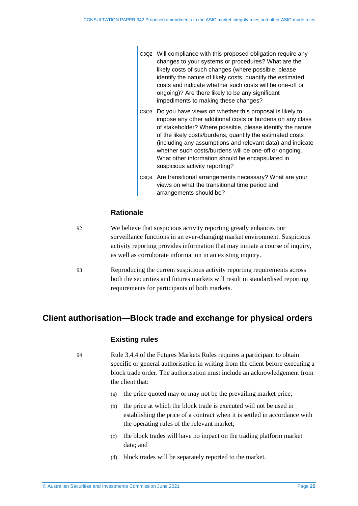- C3Q2 Will compliance with this proposed obligation require any changes to your systems or procedures? What are the likely costs of such changes (where possible, please identify the nature of likely costs, quantify the estimated costs and indicate whether such costs will be one-off or ongoing)? Are there likely to be any significant impediments to making these changes?
- C3Q3 Do you have views on whether this proposal is likely to impose any other additional costs or burdens on any class of stakeholder? Where possible, please identify the nature of the likely costs/burdens, quantify the estimated costs (including any assumptions and relevant data) and indicate whether such costs/burdens will be one-off or ongoing. What other information should be encapsulated in suspicious activity reporting?
- C3Q4 Are transitional arrangements necessary? What are your views on what the transitional time period and arrangements should be?

### **Rationale**

| 92  | We believe that suspicious activity reporting greatly enhances our             |
|-----|--------------------------------------------------------------------------------|
|     | surveillance functions in an ever-changing market environment. Suspicious      |
|     | activity reporting provides information that may initiate a course of inquiry, |
|     | as well as corroborate information in an existing inquiry.                     |
| -93 | Reproducing the current suspicious activity reporting requirements across      |

<span id="page-24-1"></span>93 Reproducing the current suspicious activity reporting requirements across both the securities and futures markets will result in standardised reporting requirements for participants of both markets.

# <span id="page-24-2"></span><span id="page-24-0"></span>**Client authorisation—Block trade and exchange for physical orders**

#### **Existing rules**

94 Rule 3.4.4 of the Futures Markets Rules requires a participant to obtain specific or general authorisation in writing from the client before executing a block trade order. The authorisation must include an acknowledgement from the client that:

- (a) the price quoted may or may not be the prevailing market price;
- (b) the price at which the block trade is executed will not be used in establishing the price of a contract when it is settled in accordance with the operating rules of the relevant market;
- (c) the block trades will have no impact on the trading platform market data; and
- (d) block trades will be separately reported to the market.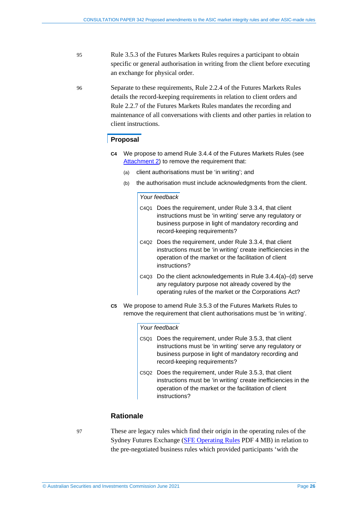- 95 Rule 3.5.3 of the Futures Markets Rules requires a participant to obtain specific or general authorisation in writing from the client before executing an exchange for physical order.
- 96 Separate to these requirements, Rule 2.2.4 of the Futures Markets Rules details the record-keeping requirements in relation to client orders and Rule 2.2.7 of the Futures Markets Rules mandates the recording and maintenance of all conversations with clients and other parties in relation to client instructions.

#### **Proposal**

- **C4** We propose to amend Rule 3.4.4 of the Futures Markets Rules (see [Attachment 2\)](https://asic.gov.au/regulatory-resources/find-a-document/consultation-papers/cp-342-proposed-amendments-to-the-asic-market-integrity-rules-and-other-asic-made-rules/) to remove the requirement that:
	- (a) client authorisations must be 'in writing'; and
	- (b) the authorisation must include acknowledgments from the client.

#### *Your feedback*

- C4Q1 Does the requirement, under Rule 3.3.4, that client instructions must be 'in writing' serve any regulatory or business purpose in light of mandatory recording and record-keeping requirements?
- C4Q2 Does the requirement, under Rule 3.3.4, that client instructions must be 'in writing' create inefficiencies in the operation of the market or the facilitation of client instructions?
- C4Q3 Do the client acknowledgements in Rule 3.4.4(a)–(d) serve any regulatory purpose not already covered by the operating rules of the market or the Corporations Act?
- **C5** We propose to amend Rule 3.5.3 of the Futures Markets Rules to remove the requirement that client authorisations must be 'in writing'.

#### *Your feedback*

- C5Q1 Does the requirement, under Rule 3.5.3, that client instructions must be 'in writing' serve any regulatory or business purpose in light of mandatory recording and record-keeping requirements?
- C5Q2 Does the requirement, under Rule 3.5.3, that client instructions must be 'in writing' create inefficiencies in the operation of the market or the facilitation of client instructions?

#### **Rationale**

97 These are legacy rules which find their origin in the operating rules of the Sydney Futures Exchange [\(SFE Operating Rules](https://www.asx.com.au/documents/rules/sfe_operating_rules.pdf) PDF 4 MB) in relation to the pre-negotiated business rules which provided participants 'with the

© Australian Securities and Investments Commission June 2021 Page **26**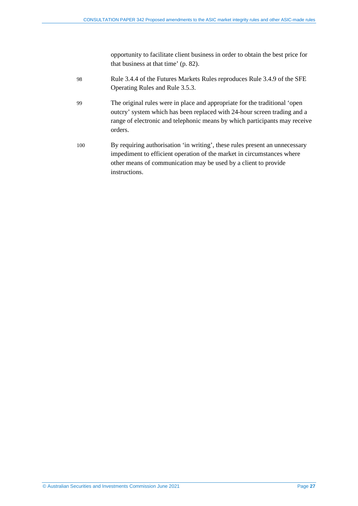opportunity to facilitate client business in order to obtain the best price for that business at that time' (p. 82).

- 98 Rule 3.4.4 of the Futures Markets Rules reproduces Rule 3.4.9 of the SFE Operating Rules and Rule 3.5.3.
- 99 The original rules were in place and appropriate for the traditional 'open outcry' system which has been replaced with 24-hour screen trading and a range of electronic and telephonic means by which participants may receive orders.
- <span id="page-26-0"></span>100 By requiring authorisation 'in writing', these rules present an unnecessary impediment to efficient operation of the market in circumstances where other means of communication may be used by a client to provide instructions.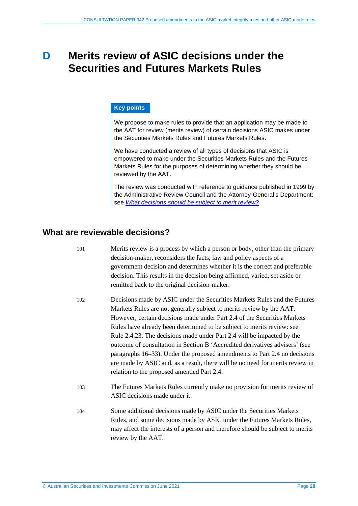# <span id="page-27-0"></span>**D Merits review of ASIC decisions under the Securities and Futures Markets Rules**

#### **Key points**

We propose to make rules to provide that an application may be made to the AAT for review (merits review) of certain decisions ASIC makes under the Securities Markets Rules and Futures Markets Rules.

We have conducted a review of all types of decisions that ASIC is empowered to make under the Securities Markets Rules and the Futures Markets Rules for the purposes of determining whether they should be reviewed by the AAT.

The review was conducted with reference to guidance published in 1999 by the Administrative Review Council and the Attorney-General's Department: see *[What decisions should be subject to merit review?](https://www.ag.gov.au/LegalSystem/AdministrativeLaw/Pages/practice-guides/what-decisions-should-be-subject-to-merit-review-1999.aspx)*

### <span id="page-27-1"></span>**What are reviewable decisions?**

| 101 | Merits review is a process by which a person or body, other than the primary<br>decision-maker, reconsiders the facts, law and policy aspects of a<br>government decision and determines whether it is the correct and preferable<br>decision. This results in the decision being affirmed, varied, set aside or<br>remitted back to the original decision-maker.                                                                                                                                                                                                                                                                                                            |
|-----|------------------------------------------------------------------------------------------------------------------------------------------------------------------------------------------------------------------------------------------------------------------------------------------------------------------------------------------------------------------------------------------------------------------------------------------------------------------------------------------------------------------------------------------------------------------------------------------------------------------------------------------------------------------------------|
| 102 | Decisions made by ASIC under the Securities Markets Rules and the Futures<br>Markets Rules are not generally subject to merits review by the AAT.<br>However, certain decisions made under Part 2.4 of the Securities Markets<br>Rules have already been determined to be subject to merits review: see<br>Rule 2.4.23. The decisions made under Part 2.4 will be impacted by the<br>outcome of consultation in Section B 'Accredited derivatives advisers' (see<br>paragraphs 16–33). Under the proposed amendments to Part 2.4 no decisions<br>are made by ASIC and, as a result, there will be no need for merits review in<br>relation to the proposed amended Part 2.4. |
| 103 | The Futures Markets Rules currently make no provision for merits review of<br>ASIC decisions made under it.                                                                                                                                                                                                                                                                                                                                                                                                                                                                                                                                                                  |
| 104 | Some additional decisions made by ASIC under the Securities Markets<br>Rules, and some decisions made by ASIC under the Futures Markets Rules,<br>may affect the interests of a person and therefore should be subject to merits<br>review by the AAT.                                                                                                                                                                                                                                                                                                                                                                                                                       |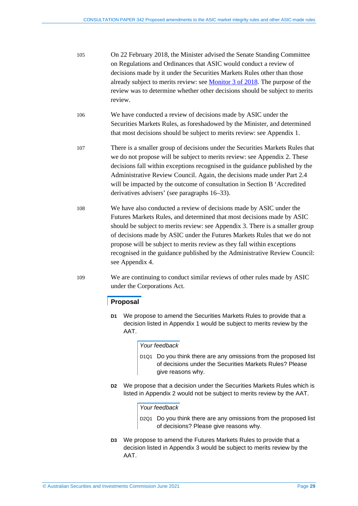- 105 On 22 February 2018, the Minister advised the Senate Standing Committee on Regulations and Ordinances that ASIC would conduct a review of decisions made by it under the Securities Markets Rules other than those already subject to merits review: see [Monitor 3 of 2018.](https://www.aph.gov.au/Parliamentary_Business/Committees/Senate/Scrutiny_of_Delegated_Legislation/Monitor/mon2018/index) The purpose of the review was to determine whether other decisions should be subject to merits review.
- 106 We have conducted a review of decisions made by ASIC under the Securities Markets Rules, as foreshadowed by the Minister, and determined that most decisions should be subject to merits review: see Appendix 1.
- 107 There is a smaller group of decisions under the Securities Markets Rules that we do not propose will be subject to merits review: see Appendix 2. These decisions fall within exceptions recognised in the guidance published by the Administrative Review Council. Again, the decisions made under Part 2.4 will be impacted by the outcome of consultation in Section [B](#page-8-0) 'Accredited derivatives advisers' (see paragraphs [16](#page-8-2)[–33\)](#page-12-1).
- 108 We have also conducted a review of decisions made by ASIC under the Futures Markets Rules, and determined that most decisions made by ASIC should be subject to merits review: see Appendix 3. There is a smaller group of decisions made by ASIC under the Futures Markets Rules that we do not propose will be subject to merits review as they fall within exceptions recognised in the guidance published by the Administrative Review Council: see Appendix 4.
- 109 We are continuing to conduct similar reviews of other rules made by ASIC under the Corporations Act.

#### **Proposal**

**D1** We propose to amend the Securities Markets Rules to provide that a decision listed in Appendix 1 would be subject to merits review by the AAT.

#### *Your feedback*

- D<sub>1Q1</sub> Do you think there are any omissions from the proposed list of decisions under the Securities Markets Rules? Please give reasons why.
- **D2** We propose that a decision under the Securities Markets Rules which is listed in Appendix 2 would not be subject to merits review by the AAT.

#### *Your feedback*

- D<sub>2Q1</sub> Do you think there are any omissions from the proposed list of decisions? Please give reasons why.
- **D3** We propose to amend the Futures Markets Rules to provide that a decision listed in Appendix 3 would be subject to merits review by the AAT.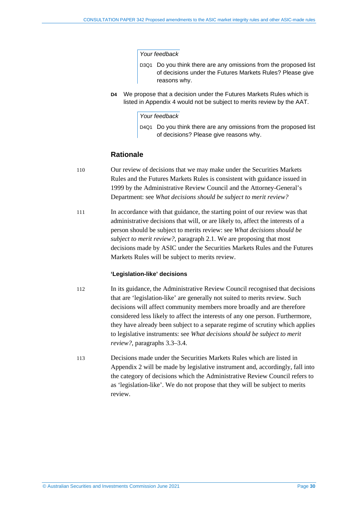#### *Your feedback*

- D3Q1 Do you think there are any omissions from the proposed list of decisions under the Futures Markets Rules? Please give reasons why.
- **D4** We propose that a decision under the Futures Markets Rules which is listed in Appendix 4 would not be subject to merits review by the AAT.

#### *Your feedback*

D4Q1 Do you think there are any omissions from the proposed list of decisions? Please give reasons why.

#### **Rationale**

- 110 Our review of decisions that we may make under the Securities Markets Rules and the Futures Markets Rules is consistent with guidance issued in 1999 by the Administrative Review Council and the Attorney-General's Department: see *What decisions should be subject to merit review?*
- 111 In accordance with that guidance, the starting point of our review was that administrative decisions that will, or are likely to, affect the interests of a person should be subject to merits review: see *What decisions should be subject to merit review?*, paragraph 2.1. We are proposing that most decisions made by ASIC under the Securities Markets Rules and the Futures Markets Rules will be subject to merits review.

#### **'Legislation-like' decisions**

- 112 In its guidance, the Administrative Review Council recognised that decisions that are 'legislation-like' are generally not suited to merits review. Such decisions will affect community members more broadly and are therefore considered less likely to affect the interests of any one person. Furthermore, they have already been subject to a separate regime of scrutiny which applies to legislative instruments: see *What decisions should be subject to merit review?*, paragraphs 3.3–3.4.
- 113 Decisions made under the Securities Markets Rules which are listed in Appendix 2 will be made by legislative instrument and, accordingly, fall into the category of decisions which the Administrative Review Council refers to as 'legislation-like'. We do not propose that they will be subject to merits review.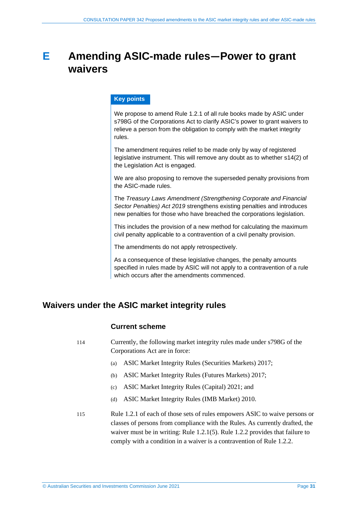# <span id="page-30-0"></span>**E Amending ASIC-made rules—Power to grant waivers**

#### **Key points**

We propose to amend Rule 1.2.1 of all rule books made by ASIC under s798G of the Corporations Act to clarify ASIC's power to grant waivers to relieve a person from the obligation to comply with the market integrity rules.

The amendment requires relief to be made only by way of registered legislative instrument. This will remove any doubt as to whether s14(2) of the Legislation Act is engaged.

We are also proposing to remove the superseded penalty provisions from the ASIC-made rules.

The *Treasury Laws Amendment (Strengthening Corporate and Financial Sector Penalties) Act 2019* strengthens existing penalties and introduces new penalties for those who have breached the corporations legislation.

This includes the provision of a new method for calculating the maximum civil penalty applicable to a contravention of a civil penalty provision.

The amendments do not apply retrospectively.

As a consequence of these legislative changes, the penalty amounts specified in rules made by ASIC will not apply to a contravention of a rule which occurs after the amendments commenced.

# <span id="page-30-1"></span>**Waivers under the ASIC market integrity rules**

#### **Current scheme**

114 Currently, the following market integrity rules made under s798G of the Corporations Act are in force:

- (a) ASIC Market Integrity Rules (Securities Markets) 2017;
- (b) ASIC Market Integrity Rules (Futures Markets) 2017;
- (c) ASIC Market Integrity Rules (Capital) 2021; and
- (d) ASIC Market Integrity Rules (IMB Market) 2010.
- 115 Rule 1.2.1 of each of those sets of rules empowers ASIC to waive persons or classes of persons from compliance with the Rules. As currently drafted, the waiver must be in writing: Rule 1.2.1(5). Rule 1.2.2 provides that failure to comply with a condition in a waiver is a contravention of Rule 1.2.2.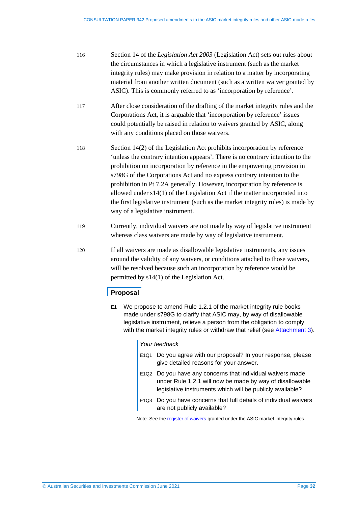- 116 Section 14 of the *Legislation Act 2003* (Legislation Act) sets out rules about the circumstances in which a legislative instrument (such as the market integrity rules) may make provision in relation to a matter by incorporating material from another written document (such as a written waiver granted by ASIC). This is commonly referred to as 'incorporation by reference'.
- 117 After close consideration of the drafting of the market integrity rules and the Corporations Act, it is arguable that 'incorporation by reference' issues could potentially be raised in relation to waivers granted by ASIC, along with any conditions placed on those waivers.
- 118 Section 14(2) of the Legislation Act prohibits incorporation by reference 'unless the contrary intention appears'. There is no contrary intention to the prohibition on incorporation by reference in the empowering provision in s798G of the Corporations Act and no express contrary intention to the prohibition in Pt 7.2A generally. However, incorporation by reference is allowed under s14(1) of the Legislation Act if the matter incorporated into the first legislative instrument (such as the market integrity rules) is made by way of a legislative instrument.
- 119 Currently, individual waivers are not made by way of legislative instrument whereas class waivers are made by way of legislative instrument.
- 120 If all waivers are made as disallowable legislative instruments, any issues around the validity of any waivers, or conditions attached to those waivers, will be resolved because such an incorporation by reference would be permitted by s14(1) of the Legislation Act.

#### **Proposal**

**E1** We propose to amend Rule 1.2.1 of the market integrity rule books made under s798G to clarify that ASIC may, by way of disallowable legislative instrument, relieve a person from the obligation to comply with the market integrity rules or withdraw that relief (see [Attachment 3\)](https://asic.gov.au/regulatory-resources/find-a-document/consultation-papers/cp-342-proposed-amendments-to-the-asic-market-integrity-rules-and-other-asic-made-rules/).

#### *Your feedback*

- E1Q1 Do you agree with our proposal? In your response, please give detailed reasons for your answer.
- E1Q2 Do you have any concerns that individual waivers made under Rule 1.2.1 will now be made by way of disallowable legislative instruments which will be publicly available?
- E1Q3 Do you have concerns that full details of individual waivers are not publicly available?

Note: See th[e register of waivers](https://asic.gov.au/regulatory-resources/markets/market-integrity-rules/register-of-waivers-granted-under-asic-market-integrity-rules/) granted under the ASIC market integrity rules.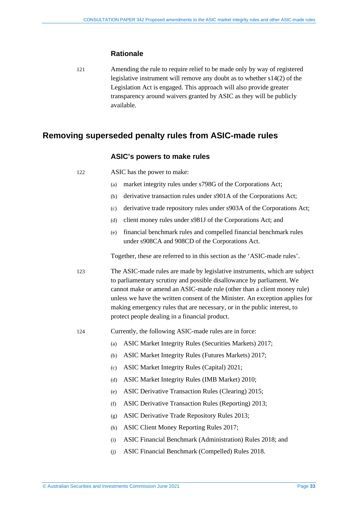#### **Rationale**

121 Amending the rule to require relief to be made only by way of registered legislative instrument will remove any doubt as to whether s14(2) of the Legislation Act is engaged. This approach will also provide greater transparency around waivers granted by ASIC as they will be publicly available.

### <span id="page-32-0"></span>**Removing superseded penalty rules from ASIC-made rules**

#### **ASIC's powers to make rules**

- (a) market integrity rules under s798G of the Corporations Act;
- (b) derivative transaction rules under s901A of the Corporations Act;
- (c) derivative trade repository rules under s903A of the Corporations Act;
- (d) client money rules under s981J of the Corporations Act; and
- (e) financial benchmark rules and compelled financial benchmark rules under s908CA and 908CD of the Corporations Act.

Together, these are referred to in this section as the 'ASIC-made rules'.

- 123 The ASIC-made rules are made by legislative instruments, which are subject to parliamentary scrutiny and possible disallowance by parliament. We cannot make or amend an ASIC-made rule (other than a client money rule) unless we have the written consent of the Minister. An exception applies for making emergency rules that are necessary, or in the public interest, to protect people dealing in a financial product.
- 124 Currently, the following ASIC-made rules are in force:
	- (a) ASIC Market Integrity Rules (Securities Markets) 2017;
	- (b) ASIC Market Integrity Rules (Futures Markets) 2017;
	- (c) ASIC Market Integrity Rules (Capital) 2021;
	- (d) ASIC Market Integrity Rules (IMB Market) 2010;
	- (e) ASIC Derivative Transaction Rules (Clearing) 2015;
	- (f) ASIC Derivative Transaction Rules (Reporting) 2013;
	- (g) ASIC Derivative Trade Repository Rules 2013;
	- (h) ASIC Client Money Reporting Rules 2017;
	- (i) ASIC Financial Benchmark (Administration) Rules 2018; and
	- (j) ASIC Financial Benchmark (Compelled) Rules 2018.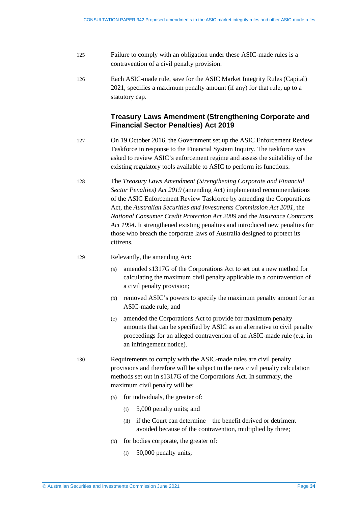- 125 Failure to comply with an obligation under these ASIC-made rules is a contravention of a civil penalty provision.
- 126 Each ASIC-made rule, save for the ASIC Market Integrity Rules (Capital) 2021, specifies a maximum penalty amount (if any) for that rule, up to a statutory cap.

### **Treasury Laws Amendment (Strengthening Corporate and Financial Sector Penalties) Act 2019**

- 127 On 19 October 2016, the Government set up the ASIC Enforcement Review Taskforce in response to the Financial System Inquiry. The taskforce was asked to review ASIC's enforcement regime and assess the suitability of the existing regulatory tools available to ASIC to perform its functions.
- 128 The *Treasury Laws Amendment (Strengthening Corporate and Financial Sector Penalties) Act 2019* (amending Act) implemented recommendations of the ASIC Enforcement Review Taskforce by amending the Corporations Act, the *Australian Securities and Investments Commission Act 2001*, the *National Consumer Credit Protection Act 2009* and the *Insurance Contracts Act 1994*. It strengthened existing penalties and introduced new penalties for those who breach the corporate laws of Australia designed to protect its citizens.

#### 129 Relevantly, the amending Act:

- (a) amended s1317G of the Corporations Act to set out a new method for calculating the maximum civil penalty applicable to a contravention of a civil penalty provision;
- (b) removed ASIC's powers to specify the maximum penalty amount for an ASIC-made rule; and
- (c) amended the Corporations Act to provide for maximum penalty amounts that can be specified by ASIC as an alternative to civil penalty proceedings for an alleged contravention of an ASIC-made rule (e.g. in an infringement notice).
- <span id="page-33-0"></span>130 Requirements to comply with the ASIC-made rules are civil penalty provisions and therefore will be subject to the new civil penalty calculation methods set out in s1317G of the Corporations Act. In summary, the maximum civil penalty will be:
	- (a) for individuals, the greater of:
		- (i) 5,000 penalty units; and
		- (ii) if the Court can determine—the benefit derived or detriment avoided because of the contravention, multiplied by three;
	- (b) for bodies corporate, the greater of:
		- (i) 50,000 penalty units;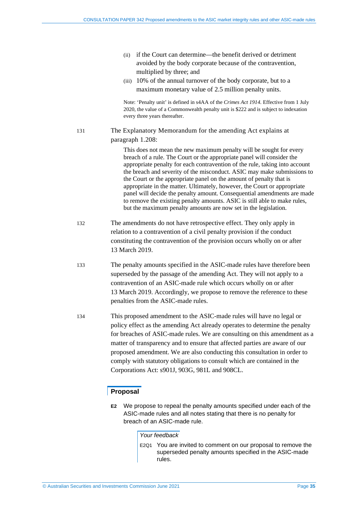- (ii) if the Court can determine—the benefit derived or detriment avoided by the body corporate because of the contravention, multiplied by three; and
- (iii) 10% of the annual turnover of the body corporate, but to a maximum monetary value of 2.5 million penalty units.

Note: 'Penalty unit' is defined in s4AA of the *Crimes Act 1914*. Effective from 1 July 2020, the value of a Commonwealth penalty unit is \$222 and is subject to indexation every three years thereafter.

131 The Explanatory Memorandum for the amending Act explains at paragraph 1.208:

> This does not mean the new maximum penalty will be sought for every breach of a rule. The Court or the appropriate panel will consider the appropriate penalty for each contravention of the rule, taking into account the breach and severity of the misconduct. ASIC may make submissions to the Court or the appropriate panel on the amount of penalty that is appropriate in the matter. Ultimately, however, the Court or appropriate panel will decide the penalty amount. Consequential amendments are made to remove the existing penalty amounts. ASIC is still able to make rules, but the maximum penalty amounts are now set in the legislation.

- 132 The amendments do not have retrospective effect. They only apply in relation to a contravention of a civil penalty provision if the conduct constituting the contravention of the provision occurs wholly on or after 13 March 2019.
- 133 The penalty amounts specified in the ASIC-made rules have therefore been superseded by the passage of the amending Act. They will not apply to a contravention of an ASIC-made rule which occurs wholly on or after 13 March 2019. Accordingly, we propose to remove the reference to these penalties from the ASIC-made rules.
- 134 This proposed amendment to the ASIC-made rules will have no legal or policy effect as the amending Act already operates to determine the penalty for breaches of ASIC-made rules. We are consulting on this amendment as a matter of transparency and to ensure that affected parties are aware of our proposed amendment. We are also conducting this consultation in order to comply with statutory obligations to consult which are contained in the Corporations Act: s901J, 903G, 981L and 908CL.

#### **Proposal**

**E2** We propose to repeal the penalty amounts specified under each of the ASIC-made rules and all notes stating that there is no penalty for breach of an ASIC-made rule.

*Your feedback*

E2Q1 You are invited to comment on our proposal to remove the superseded penalty amounts specified in the ASIC-made rules.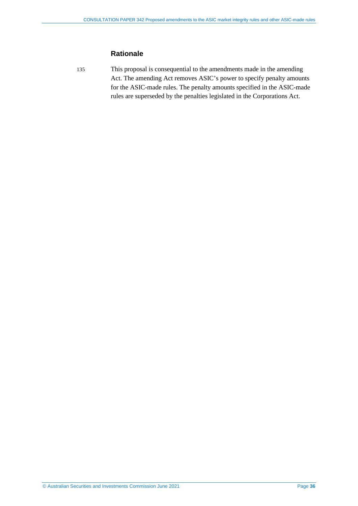### **Rationale**

135 This proposal is consequential to the amendments made in the amending Act. The amending Act removes ASIC's power to specify penalty amounts for the ASIC-made rules. The penalty amounts specified in the ASIC-made rules are superseded by the penalties legislated in the Corporations Act.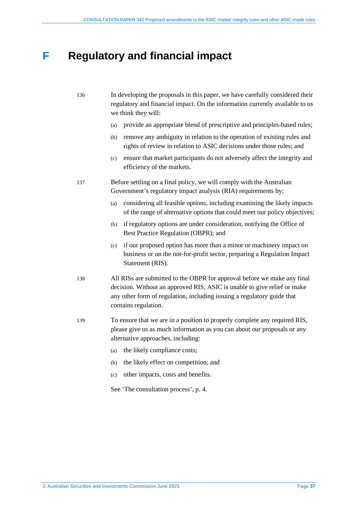# <span id="page-36-0"></span>**F Regulatory and financial impact**

| 136 | In developing the proposals in this paper, we have carefully considered their |
|-----|-------------------------------------------------------------------------------|
|     | regulatory and financial impact. On the information currently available to us |
|     | we think they will:                                                           |

- (a) provide an appropriate blend of prescriptive and principles-based rules;
- (b) remove any ambiguity in relation to the operation of existing rules and rights of review in relation to ASIC decisions under those rules; and
- (c) ensure that market participants do not adversely affect the integrity and efficiency of the markets.
- 137 Before settling on a final policy, we will comply with the Australian Government's regulatory impact analysis (RIA) requirements by:
	- (a) considering all feasible options, including examining the likely impacts of the range of alternative options that could meet our policy objectives;
	- (b) if regulatory options are under consideration, notifying the Office of Best Practice Regulation (OBPR); and
	- (c) if our proposed option has more than a minor or machinery impact on business or on the not-for-profit sector, preparing a Regulation Impact Statement (RIS).
- 138 All RISs are submitted to the OBPR for approval before we make any final decision. Without an approved RIS, ASIC is unable to give relief or make any other form of regulation, including issuing a regulatory guide that contains regulation.
- 139 To ensure that we are in a position to properly complete any required RIS, please give us as much information as you can about our proposals or any alternative approaches, including:
	- (a) the likely compliance costs;
	- (b) the likely effect on competition; and
	- (c) other impacts, costs and benefits.

See 'The consultation process', p. [4.](#page-3-1)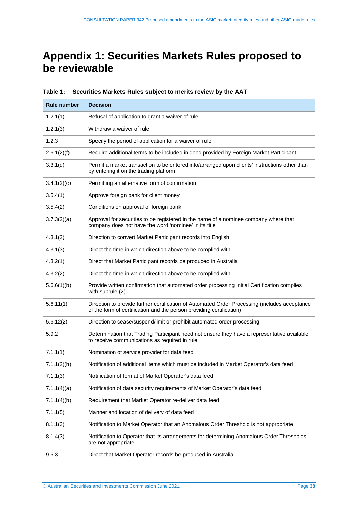# <span id="page-37-0"></span>**Appendix 1: Securities Markets Rules proposed to be reviewable**

| <b>Rule number</b> | <b>Decision</b>                                                                                                                                                       |  |
|--------------------|-----------------------------------------------------------------------------------------------------------------------------------------------------------------------|--|
| 1.2.1(1)           | Refusal of application to grant a waiver of rule                                                                                                                      |  |
| 1.2.1(3)           | Withdraw a waiver of rule                                                                                                                                             |  |
| 1.2.3              | Specify the period of application for a waiver of rule                                                                                                                |  |
| 2.6.1(2)(f)        | Require additional terms to be included in deed provided by Foreign Market Participant                                                                                |  |
| 3.3.1(d)           | Permit a market transaction to be entered into/arranged upon clients' instructions other than<br>by entering it on the trading platform                               |  |
| 3.4.1(2)(c)        | Permitting an alternative form of confirmation                                                                                                                        |  |
| 3.5.4(1)           | Approve foreign bank for client money                                                                                                                                 |  |
| 3.5.4(2)           | Conditions on approval of foreign bank                                                                                                                                |  |
| 3.7.3(2)(a)        | Approval for securities to be registered in the name of a nominee company where that<br>company does not have the word 'nominee' in its title                         |  |
| 4.3.1(2)           | Direction to convert Market Participant records into English                                                                                                          |  |
| 4.3.1(3)           | Direct the time in which direction above to be complied with                                                                                                          |  |
| 4.3.2(1)           | Direct that Market Participant records be produced in Australia                                                                                                       |  |
| 4.3.2(2)           | Direct the time in which direction above to be complied with                                                                                                          |  |
| 5.6.6(1)(b)        | Provide written confirmation that automated order processing Initial Certification complies<br>with subrule (2)                                                       |  |
| 5.6.11(1)          | Direction to provide further certification of Automated Order Processing (includes acceptance<br>of the form of certification and the person providing certification) |  |
| 5.6.12(2)          | Direction to cease/suspend/limit or prohibit automated order processing                                                                                               |  |
| 5.9.2              | Determination that Trading Participant need not ensure they have a representative available<br>to receive communications as required in rule                          |  |
| 7.1.1(1)           | Nomination of service provider for data feed                                                                                                                          |  |
| 7.1.1(2)(h)        | Notification of additional items which must be included in Market Operator's data feed                                                                                |  |
| 7.1.1(3)           | Notification of format of Market Operator's data feed                                                                                                                 |  |
| 7.1.1(4)(a)        | Notification of data security requirements of Market Operator's data feed                                                                                             |  |
| 7.1.1(4)(b)        | Requirement that Market Operator re-deliver data feed                                                                                                                 |  |
| 7.1.1(5)           | Manner and location of delivery of data feed                                                                                                                          |  |
| 8.1.1(3)           | Notification to Market Operator that an Anomalous Order Threshold is not appropriate                                                                                  |  |
| 8.1.4(3)           | Notification to Operator that its arrangements for determining Anomalous Order Thresholds<br>are not appropriate                                                      |  |
| 9.5.3              | Direct that Market Operator records be produced in Australia                                                                                                          |  |

**Table 1: Securities Markets Rules subject to merits review by the AAT**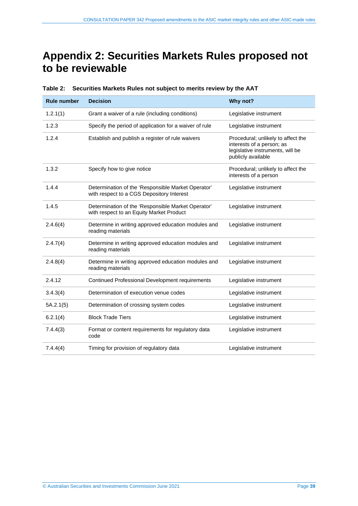# <span id="page-38-0"></span>**Appendix 2: Securities Markets Rules proposed not to be reviewable**

| <b>Rule number</b> | <b>Decision</b>                                                                                 | Why not?                                                                                                                  |
|--------------------|-------------------------------------------------------------------------------------------------|---------------------------------------------------------------------------------------------------------------------------|
| 1.2.1(1)           | Grant a waiver of a rule (including conditions)                                                 | Legislative instrument                                                                                                    |
| 1.2.3              | Specify the period of application for a waiver of rule                                          | Legislative instrument                                                                                                    |
| 1.2.4              | Establish and publish a register of rule waivers                                                | Procedural; unlikely to affect the<br>interests of a person; as<br>legislative instruments, will be<br>publicly available |
| 1.3.2              | Specify how to give notice                                                                      | Procedural; unlikely to affect the<br>interests of a person                                                               |
| 1.4.4              | Determination of the 'Responsible Market Operator'<br>with respect to a CGS Depository Interest | Legislative instrument                                                                                                    |
| 1.4.5              | Determination of the 'Responsible Market Operator'<br>with respect to an Equity Market Product  | Legislative instrument                                                                                                    |
| 2.4.6(4)           | Determine in writing approved education modules and<br>reading materials                        | Legislative instrument                                                                                                    |
| 2.4.7(4)           | Determine in writing approved education modules and<br>reading materials                        | Legislative instrument                                                                                                    |
| 2.4.8(4)           | Determine in writing approved education modules and<br>reading materials                        | Legislative instrument                                                                                                    |
| 2.4.12             | Continued Professional Development requirements                                                 | Legislative instrument                                                                                                    |
| 3.4.3(4)           | Determination of execution venue codes                                                          | Legislative instrument                                                                                                    |
| 5A.2.1(5)          | Determination of crossing system codes                                                          | Legislative instrument                                                                                                    |
| 6.2.1(4)           | <b>Block Trade Tiers</b>                                                                        | Legislative instrument                                                                                                    |
| 7.4.4(3)           | Format or content requirements for regulatory data<br>code                                      | Legislative instrument                                                                                                    |
| 7.4.4(4)           | Timing for provision of regulatory data                                                         | Legislative instrument                                                                                                    |

**Table 2: Securities Markets Rules not subject to merits review by the AAT**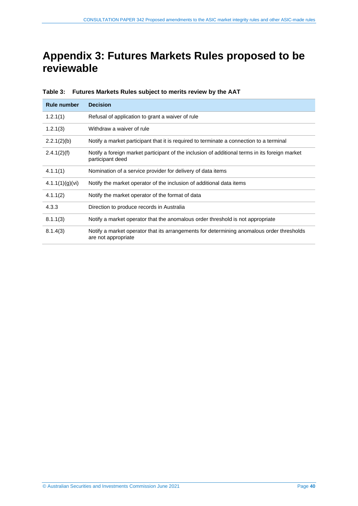# <span id="page-39-0"></span>**Appendix 3: Futures Markets Rules proposed to be reviewable**

| <b>Rule number</b>                    | <b>Decision</b>                                                                                                    |  |
|---------------------------------------|--------------------------------------------------------------------------------------------------------------------|--|
| 1.2.1(1)                              | Refusal of application to grant a waiver of rule                                                                   |  |
| 1.2.1(3)<br>Withdraw a waiver of rule |                                                                                                                    |  |
| 2.2.1(2)(b)                           | Notify a market participant that it is required to terminate a connection to a terminal                            |  |
| 2.4.1(2)(f)                           | Notify a foreign market participant of the inclusion of additional terms in its foreign market<br>participant deed |  |
| 4.1.1(1)                              | Nomination of a service provider for delivery of data items                                                        |  |
| 4.1.1(1)(g)(vi)                       | Notify the market operator of the inclusion of additional data items                                               |  |
| 4.1.1(2)                              | Notify the market operator of the format of data                                                                   |  |
| 4.3.3                                 | Direction to produce records in Australia                                                                          |  |
| 8.1.1(3)                              | Notify a market operator that the anomalous order threshold is not appropriate                                     |  |
| 8.1.4(3)                              | Notify a market operator that its arrangements for determining anomalous order thresholds<br>are not appropriate   |  |

**Table 3: Futures Markets Rules subject to merits review by the AAT**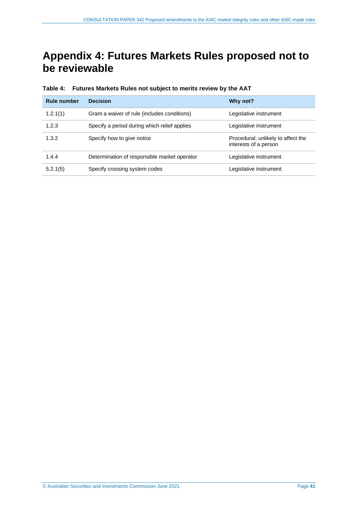# <span id="page-40-0"></span>**Appendix 4: Futures Markets Rules proposed not to be reviewable**

| <b>Rule number</b> | <b>Decision</b>                              | Why not?                                                    |
|--------------------|----------------------------------------------|-------------------------------------------------------------|
| 1.2.1(1)           | Grant a waiver of rule (includes conditions) | Legislative instrument                                      |
| 1.2.3              | Specify a period during which relief applies | Legislative instrument                                      |
| 1.3.2              | Specify how to give notice                   | Procedural; unlikely to affect the<br>interests of a person |
| 1.4.4              | Determination of responsible market operator | Legislative instrument                                      |
| 5.2.1(5)           | Specify crossing system codes                | Legislative instrument                                      |

**Table 4: Futures Markets Rules not subject to merits review by the AAT**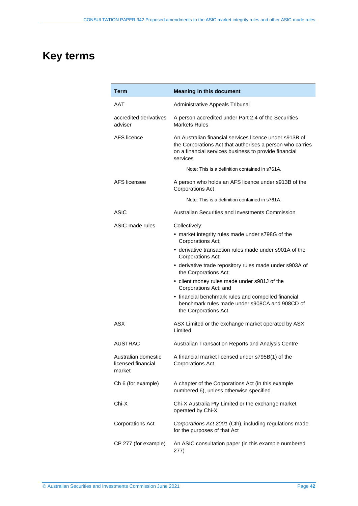# <span id="page-41-0"></span>**Key terms**

| Term                                                | <b>Meaning in this document</b>                                                                                                                                                           |  |  |  |
|-----------------------------------------------------|-------------------------------------------------------------------------------------------------------------------------------------------------------------------------------------------|--|--|--|
| AAT                                                 | Administrative Appeals Tribunal                                                                                                                                                           |  |  |  |
| accredited derivatives<br>adviser                   | A person accredited under Part 2.4 of the Securities<br><b>Markets Rules</b>                                                                                                              |  |  |  |
| AFS licence                                         | An Australian financial services licence under s913B of<br>the Corporations Act that authorises a person who carries<br>on a financial services business to provide financial<br>services |  |  |  |
|                                                     | Note: This is a definition contained in s761A.                                                                                                                                            |  |  |  |
| AFS licensee                                        | A person who holds an AFS licence under s913B of the<br><b>Corporations Act</b>                                                                                                           |  |  |  |
|                                                     | Note: This is a definition contained in s761A.                                                                                                                                            |  |  |  |
| <b>ASIC</b>                                         | Australian Securities and Investments Commission                                                                                                                                          |  |  |  |
| ASIC-made rules                                     | Collectively:<br>• market integrity rules made under s798G of the<br>Corporations Act;<br>• derivative transaction rules made under s901A of the<br>Corporations Act;                     |  |  |  |
|                                                     | • derivative trade repository rules made under s903A of<br>the Corporations Act;                                                                                                          |  |  |  |
|                                                     | • client money rules made under s981J of the<br>Corporations Act; and                                                                                                                     |  |  |  |
|                                                     | • financial benchmark rules and compelled financial<br>benchmark rules made under s908CA and 908CD of<br>the Corporations Act                                                             |  |  |  |
| ASX                                                 | ASX Limited or the exchange market operated by ASX<br>Limited                                                                                                                             |  |  |  |
| <b>AUSTRAC</b>                                      | Australian Transaction Reports and Analysis Centre                                                                                                                                        |  |  |  |
| Australian domestic<br>licensed financial<br>market | A financial market licensed under s795B(1) of the<br><b>Corporations Act</b>                                                                                                              |  |  |  |
| Ch 6 (for example)                                  | A chapter of the Corporations Act (in this example<br>numbered 6), unless otherwise specified                                                                                             |  |  |  |
| Chi-X                                               | Chi-X Australia Pty Limited or the exchange market<br>operated by Chi-X                                                                                                                   |  |  |  |
| <b>Corporations Act</b>                             | Corporations Act 2001 (Cth), including regulations made<br>for the purposes of that Act                                                                                                   |  |  |  |
| CP 277 (for example)                                | An ASIC consultation paper (in this example numbered<br>277)                                                                                                                              |  |  |  |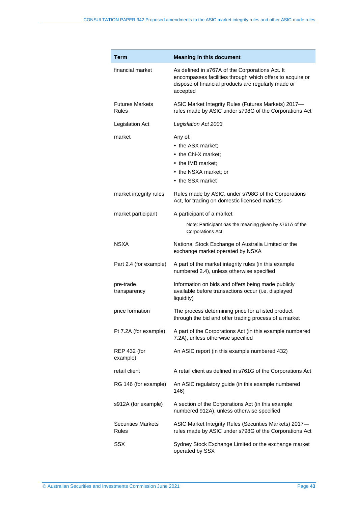| Term                               | <b>Meaning in this document</b>                                                                                                                                                 |
|------------------------------------|---------------------------------------------------------------------------------------------------------------------------------------------------------------------------------|
| financial market                   | As defined in s767A of the Corporations Act. It<br>encompasses facilities through which offers to acquire or<br>dispose of financial products are regularly made or<br>accepted |
| <b>Futures Markets</b><br>Rules    | ASIC Market Integrity Rules (Futures Markets) 2017-<br>rules made by ASIC under s798G of the Corporations Act                                                                   |
| Legislation Act                    | Legislation Act 2003                                                                                                                                                            |
| market                             | Any of:<br>• the ASX market:<br>• the Chi-X market:<br>• the IMB market:<br>• the NSXA market; or<br>• the SSX market                                                           |
| market integrity rules             | Rules made by ASIC, under s798G of the Corporations<br>Act, for trading on domestic licensed markets                                                                            |
| market participant                 | A participant of a market                                                                                                                                                       |
|                                    | Note: Participant has the meaning given by s761A of the<br>Corporations Act.                                                                                                    |
| NSXA                               | National Stock Exchange of Australia Limited or the<br>exchange market operated by NSXA                                                                                         |
| Part 2.4 (for example)             | A part of the market integrity rules (in this example<br>numbered 2.4), unless otherwise specified                                                                              |
| pre-trade<br>transparency          | Information on bids and offers being made publicly<br>available before transactions occur (i.e. displayed<br>liquidity)                                                         |
| price formation                    | The process determining price for a listed product<br>through the bid and offer trading process of a market                                                                     |
| Pt 7.2A (for example)              | A part of the Corporations Act (in this example numbered<br>7.2A), unless otherwise specified                                                                                   |
| <b>REP 432 (for</b><br>example)    | An ASIC report (in this example numbered 432)                                                                                                                                   |
| retail client                      | A retail client as defined in s761G of the Corporations Act                                                                                                                     |
| RG 146 (for example)               | An ASIC regulatory guide (in this example numbered<br>146)                                                                                                                      |
| s912A (for example)                | A section of the Corporations Act (in this example<br>numbered 912A), unless otherwise specified                                                                                |
| <b>Securities Markets</b><br>Rules | ASIC Market Integrity Rules (Securities Markets) 2017-<br>rules made by ASIC under s798G of the Corporations Act                                                                |
| <b>SSX</b>                         | Sydney Stock Exchange Limited or the exchange market<br>operated by SSX                                                                                                         |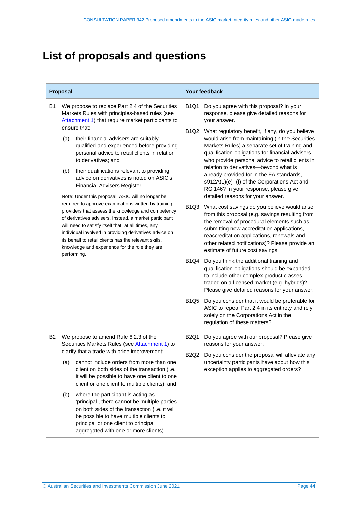# <span id="page-43-0"></span>**List of proposals and questions**

- B1 We propose to replace Part 2.4 of the Securities Markets Rules with principles-based rules (see [Attachment 1\)](https://asic.gov.au/regulatory-resources/find-a-document/consultation-papers/cp-342-proposed-amendments-to-the-asic-market-integrity-rules-and-other-asic-made-rules/) that require market participants to ensure that:
	- (a) their financial advisers are suitably qualified and experienced before providing personal advice to retail clients in relation to derivatives; and
	- (b) their qualifications relevant to providing advice on derivatives is noted on ASIC's Financial Advisers Register.

Note: Under this proposal, ASIC will no longer be required to approve examinations written by training providers that assess the knowledge and competency of derivatives advisers. Instead, a market participant will need to satisfy itself that, at all times, any individual involved in providing derivatives advice on its behalf to retail clients has the relevant skills, knowledge and experience for the role they are performing.

#### **Proposal Your feedback**

- B1Q1 Do you agree with this proposal? In your response, please give detailed reasons for your answer.
- B1Q2 What regulatory benefit, if any, do you believe would arise from maintaining (in the Securities Markets Rules) a separate set of training and qualification obligations for financial advisers who provide personal advice to retail clients in relation to derivatives—beyond what is already provided for in the FA standards, s912A(1)(e)–(f) of the Corporations Act and RG 146? In your response, please give detailed reasons for your answer.
- B1Q3 What cost savings do you believe would arise from this proposal (e.g. savings resulting from the removal of procedural elements such as submitting new accreditation applications, reaccreditation applications, renewals and other related notifications)? Please provide an estimate of future cost savings.
- B1Q4 Do you think the additional training and qualification obligations should be expanded to include other complex product classes traded on a licensed market (e.g. hybrids)? Please give detailed reasons for your answer.
- B1Q5 Do you consider that it would be preferable for ASIC to repeal Part 2.4 in its entirety and rely solely on the Corporations Act in the regulation of these matters?
- B2 We propose to amend Rule 6.2.3 of the Securities Markets Rules (see [Attachment 1\)](https://asic.gov.au/regulatory-resources/find-a-document/consultation-papers/cp-342-proposed-amendments-to-the-asic-market-integrity-rules-and-other-asic-made-rules/) to clarify that a trade with price improvement:
	- (a) cannot include orders from more than one client on both sides of the transaction (i.e. it will be possible to have one client to one client or one client to multiple clients); and
	- (b) where the participant is acting as 'principal', there cannot be multiple parties on both sides of the transaction (i.e. it will be possible to have multiple clients to principal or one client to principal aggregated with one or more clients).
- B2Q1 Do you agree with our proposal? Please give reasons for your answer.
- B2Q2 Do you consider the proposal will alleviate any uncertainty participants have about how this exception applies to aggregated orders?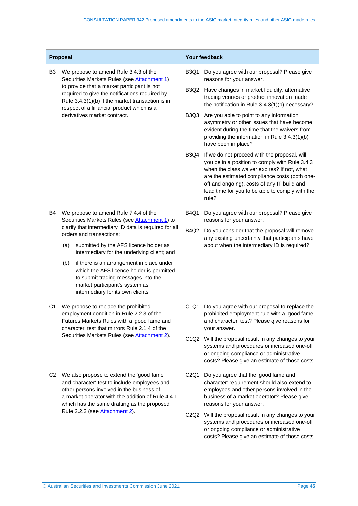| Proposal       |                                                                                                                                                                                                                                           | Your feedback                 |                                                                                                                                                                                                                                                                                                           |
|----------------|-------------------------------------------------------------------------------------------------------------------------------------------------------------------------------------------------------------------------------------------|-------------------------------|-----------------------------------------------------------------------------------------------------------------------------------------------------------------------------------------------------------------------------------------------------------------------------------------------------------|
| B3             | We propose to amend Rule 3.4.3 of the<br>Securities Markets Rules (see Attachment 1)                                                                                                                                                      |                               | Do you agree with our proposal? Please give<br>reasons for your answer.                                                                                                                                                                                                                                   |
|                | to provide that a market participant is not<br>required to give the notifications required by<br>Rule 3.4.3(1)(b) if the market transaction is in<br>respect of a financial product which is a                                            | B3Q2                          | Have changes in market liquidity, alternative<br>trading venues or product innovation made<br>the notification in Rule 3.4.3(1)(b) necessary?                                                                                                                                                             |
|                | derivatives market contract.                                                                                                                                                                                                              |                               | B3Q3<br>Are you able to point to any information<br>asymmetry or other issues that have become<br>evident during the time that the waivers from<br>providing the information in Rule 3.4.3(1)(b)<br>have been in place?                                                                                   |
|                |                                                                                                                                                                                                                                           | <b>B3Q4</b>                   | If we do not proceed with the proposal, will<br>you be in a position to comply with Rule 3.4.3<br>when the class waiver expires? If not, what<br>are the estimated compliance costs (both one-<br>off and ongoing), costs of any IT build and<br>lead time for you to be able to comply with the<br>rule? |
| <b>B4</b>      | We propose to amend Rule 7.4.4 of the<br>Securities Markets Rules (see Attachment 1) to                                                                                                                                                   | <b>B4Q1</b>                   | Do you agree with our proposal? Please give<br>reasons for your answer.                                                                                                                                                                                                                                   |
|                | clarify that intermediary ID data is required for all<br>orders and transactions:                                                                                                                                                         | B4Q2                          | Do you consider that the proposal will remove<br>any existing uncertainty that participants have                                                                                                                                                                                                          |
|                | (a)<br>submitted by the AFS licence holder as<br>intermediary for the underlying client; and                                                                                                                                              |                               | about when the intermediary ID is required?                                                                                                                                                                                                                                                               |
|                | (b)<br>if there is an arrangement in place under<br>which the AFS licence holder is permitted<br>to submit trading messages into the<br>market participant's system as<br>intermediary for its own clients.                               |                               |                                                                                                                                                                                                                                                                                                           |
| C1             | We propose to replace the prohibited<br>employment condition in Rule 2.2.3 of the<br>Futures Markets Rules with a 'good fame and<br>character' test that mirrors Rule 2.1.4 of the                                                        |                               | Do you agree with our proposal to replace the<br>prohibited employment rule with a 'good fame<br>and character' test? Please give reasons for<br>your answer.                                                                                                                                             |
|                | Securities Markets Rules (see Attachment 2).                                                                                                                                                                                              |                               | C1Q2 Will the proposal result in any changes to your<br>systems and procedures or increased one-off<br>or ongoing compliance or administrative<br>costs? Please give an estimate of those costs.                                                                                                          |
| C <sub>2</sub> | We also propose to extend the 'good fame<br>and character' test to include employees and<br>other persons involved in the business of<br>a market operator with the addition of Rule 4.4.1<br>which has the same drafting as the proposed | C <sub>2</sub> Q <sub>1</sub> | Do you agree that the 'good fame and<br>character' requirement should also extend to<br>employees and other persons involved in the<br>business of a market operator? Please give<br>reasons for your answer.                                                                                             |
|                | Rule 2.2.3 (see Attachment 2).                                                                                                                                                                                                            |                               | C2Q2 Will the proposal result in any changes to your<br>systems and procedures or increased one-off<br>or ongoing compliance or administrative<br>costs? Please give an estimate of those costs.                                                                                                          |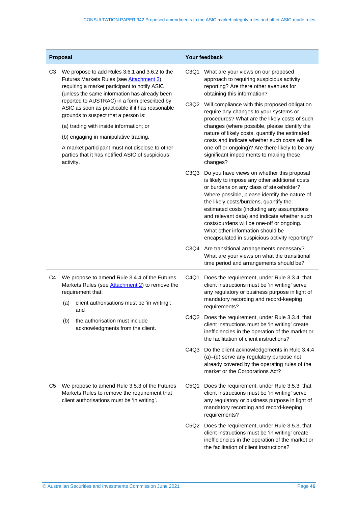| Proposal       |                                                                                                                                                                                                                                                                                                                                                                                                                                                                                                                                                  | <b>Your feedback</b>                                               |                               |                                                                                                                                                                                                                                                                                                                                                                                                                                                                     |
|----------------|--------------------------------------------------------------------------------------------------------------------------------------------------------------------------------------------------------------------------------------------------------------------------------------------------------------------------------------------------------------------------------------------------------------------------------------------------------------------------------------------------------------------------------------------------|--------------------------------------------------------------------|-------------------------------|---------------------------------------------------------------------------------------------------------------------------------------------------------------------------------------------------------------------------------------------------------------------------------------------------------------------------------------------------------------------------------------------------------------------------------------------------------------------|
| C <sub>3</sub> | We propose to add Rules 3.6.1 and 3.6.2 to the<br>Futures Markets Rules (see Attachment 2),<br>requiring a market participant to notify ASIC<br>(unless the same information has already been<br>reported to AUSTRAC) in a form prescribed by<br>ASIC as soon as practicable if it has reasonable<br>grounds to suspect that a person is:<br>(a) trading with inside information; or<br>(b) engaging in manipulative trading.<br>A market participant must not disclose to other<br>parties that it has notified ASIC of suspicious<br>activity. |                                                                    | C3Q1                          | What are your views on our proposed<br>approach to requiring suspicious activity<br>reporting? Are there other avenues for<br>obtaining this information?                                                                                                                                                                                                                                                                                                           |
|                |                                                                                                                                                                                                                                                                                                                                                                                                                                                                                                                                                  |                                                                    | C3Q2                          | Will compliance with this proposed obligation<br>require any changes to your systems or<br>procedures? What are the likely costs of such<br>changes (where possible, please identify the<br>nature of likely costs, quantify the estimated<br>costs and indicate whether such costs will be<br>one-off or ongoing)? Are there likely to be any<br>significant impediments to making these<br>changes?                                                               |
|                |                                                                                                                                                                                                                                                                                                                                                                                                                                                                                                                                                  |                                                                    |                               |                                                                                                                                                                                                                                                                                                                                                                                                                                                                     |
|                |                                                                                                                                                                                                                                                                                                                                                                                                                                                                                                                                                  |                                                                    |                               |                                                                                                                                                                                                                                                                                                                                                                                                                                                                     |
|                |                                                                                                                                                                                                                                                                                                                                                                                                                                                                                                                                                  |                                                                    |                               |                                                                                                                                                                                                                                                                                                                                                                                                                                                                     |
|                |                                                                                                                                                                                                                                                                                                                                                                                                                                                                                                                                                  |                                                                    | C <sub>3</sub> Q <sub>3</sub> | Do you have views on whether this proposal<br>is likely to impose any other additional costs<br>or burdens on any class of stakeholder?<br>Where possible, please identify the nature of<br>the likely costs/burdens, quantify the<br>estimated costs (including any assumptions<br>and relevant data) and indicate whether such<br>costs/burdens will be one-off or ongoing.<br>What other information should be<br>encapsulated in suspicious activity reporting? |
|                |                                                                                                                                                                                                                                                                                                                                                                                                                                                                                                                                                  |                                                                    | C3Q4                          | Are transitional arrangements necessary?<br>What are your views on what the transitional<br>time period and arrangements should be?                                                                                                                                                                                                                                                                                                                                 |
| C4             | We propose to amend Rule 3.4.4 of the Futures<br>Markets Rules (see <b>Attachment 2)</b> to remove the<br>requirement that:                                                                                                                                                                                                                                                                                                                                                                                                                      |                                                                    | C4Q1                          | Does the requirement, under Rule 3.3.4, that<br>client instructions must be 'in writing' serve<br>any regulatory or business purpose in light of                                                                                                                                                                                                                                                                                                                    |
|                | (a)                                                                                                                                                                                                                                                                                                                                                                                                                                                                                                                                              | client authorisations must be 'in writing';<br>and                 |                               | mandatory recording and record-keeping<br>requirements?                                                                                                                                                                                                                                                                                                                                                                                                             |
|                | (b)                                                                                                                                                                                                                                                                                                                                                                                                                                                                                                                                              | the authorisation must include<br>acknowledgments from the client. |                               | C4Q2 Does the requirement, under Rule 3.3.4, that<br>client instructions must be 'in writing' create<br>inefficiencies in the operation of the market or<br>the facilitation of client instructions?                                                                                                                                                                                                                                                                |
|                |                                                                                                                                                                                                                                                                                                                                                                                                                                                                                                                                                  |                                                                    | C4Q3                          | Do the client acknowledgements in Rule 3.4.4<br>(a)-(d) serve any regulatory purpose not<br>already covered by the operating rules of the<br>market or the Corporations Act?                                                                                                                                                                                                                                                                                        |
| C5             | We propose to amend Rule 3.5.3 of the Futures<br>Markets Rules to remove the requirement that<br>client authorisations must be 'in writing'.                                                                                                                                                                                                                                                                                                                                                                                                     |                                                                    | C5Q1                          | Does the requirement, under Rule 3.5.3, that<br>client instructions must be 'in writing' serve<br>any regulatory or business purpose in light of<br>mandatory recording and record-keeping<br>requirements?                                                                                                                                                                                                                                                         |
|                |                                                                                                                                                                                                                                                                                                                                                                                                                                                                                                                                                  |                                                                    | C5Q2                          | Does the requirement, under Rule 3.5.3, that<br>client instructions must be 'in writing' create<br>inefficiencies in the operation of the market or<br>the facilitation of client instructions?                                                                                                                                                                                                                                                                     |